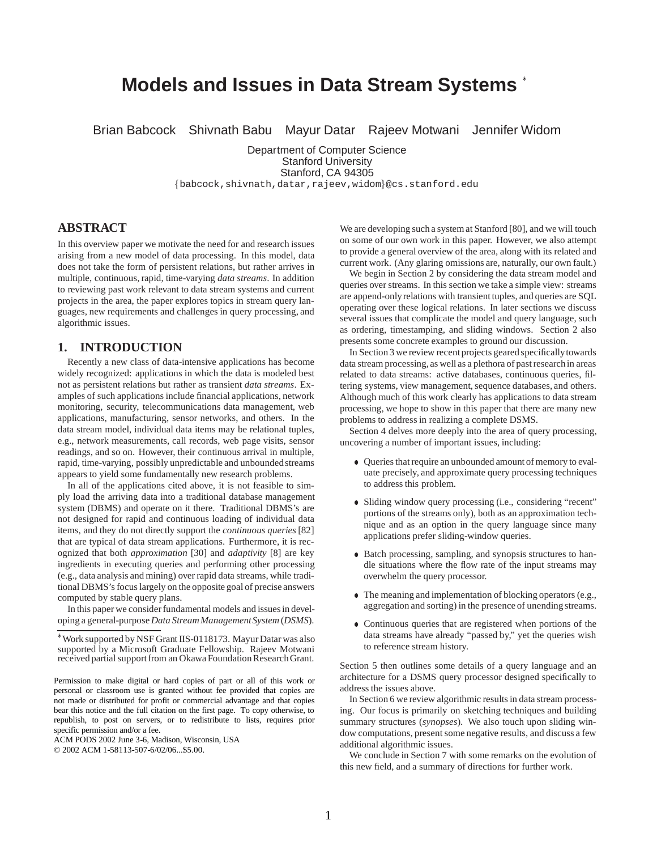# **Models and Issues in Data Stream Systems**

Brian Babcock Shivnath Babu Mayur Datar Rajeev Motwani Jennifer Widom

Department of Computer Science Stanford University Stanford, CA 94305

{babcock, shivnath, datar, rajeev, widom}@cs.stanford.edu

# **ABSTRACT**

In this overview paper we motivate the need for and research issues arising from a new model of data processing. In this model, data does not take the form of persistent relations, but rather arrives in multiple, continuous, rapid, time-varying *data streams*. In addition to reviewing past work relevant to data stream systems and current projects in the area, the paper explores topics in stream query languages, new requirements and challenges in query processing, and algorithmic issues.

# **1. INTRODUCTION**

Recently a new class of data-intensive applications has become widely recognized: applications in which the data is modeled best not as persistent relations but rather as transient *data streams*. Examples of such applications include financial applications, network monitoring, security, telecommunications data management, web applications, manufacturing, sensor networks, and others. In the data stream model, individual data items may be relational tuples, e.g., network measurements, call records, web page visits, sensor readings, and so on. However, their continuous arrival in multiple, rapid, time-varying, possibly unpredictable and unboundedstreams appears to yield some fundamentally new research problems.

In all of the applications cited above, it is not feasible to simply load the arriving data into a traditional database management system (DBMS) and operate on it there. Traditional DBMS's are not designed for rapid and continuous loading of individual data items, and they do not directly support the *continuous queries*[82] that are typical of data stream applications. Furthermore, it is recognized that both *approximation* [30] and *adaptivity* [8] are key ingredients in executing queries and performing other processing (e.g., data analysis and mining) over rapid data streams, while traditional DBMS's focus largely on the opposite goal of precise answers computed by stable query plans.

In this paper we consider fundamental models and issues in developing a general-purpose*Data Stream ManagementSystem* (*DSMS*).

© 2002 ACM 1-58113-507-6/02/06...\$5.00.

We are developing such a system at Stanford [80], and we will touch on some of our own work in this paper. However, we also attempt to provide a general overview of the area, along with its related and current work. (Any glaring omissions are, naturally, our own fault.)

We begin in Section 2 by considering the data stream model and queries over streams. In this section we take a simple view: streams are append-onlyrelations with transient tuples, and queries are SQL operating over these logical relations. In later sections we discuss several issues that complicate the model and query language, such as ordering, timestamping, and sliding windows. Section 2 also presents some concrete examples to ground our discussion.

In Section 3 we review recentprojects geared specificallytowards data stream processing,as well as a plethora of past research in areas related to data streams: active databases, continuous queries, filtering systems, view management, sequence databases, and others. Although much of this work clearly has applications to data stream processing, we hope to show in this paper that there are many new problems to address in realizing a complete DSMS.

Section 4 delves more deeply into the area of query processing, uncovering a number of important issues, including:

- Queries that require an unbounded amount of memory to evaluate precisely, and approximate query processing techniques to address this problem.
- Sliding window query processing (i.e., considering "recent" portions of the streams only), both as an approximation technique and as an option in the query language since many applications prefer sliding-window queries.
- Batch processing, sampling, and synopsis structures to handle situations where the flow rate of the input streams may overwhelm the query processor.
- The meaning and implementation of blocking operators (e.g., aggregation and sorting) in the presence of unending streams.
- Continuous queries that are registered when portions of the data streams have already "passed by," yet the queries wish to reference stream history.

Section 5 then outlines some details of a query language and an architecture for a DSMS query processor designed specifically to address the issues above.

In Section 6 we review algorithmic results in data stream processing. Our focus is primarily on sketching techniques and building summary structures (*synopses*). We also touch upon sliding window computations, present some negative results, and discuss a few additional algorithmic issues.

We conclude in Section 7 with some remarks on the evolution of this new field, and a summary of directions for further work.

Work supported by NSF Grant IIS-0118173. Mayur Datar was also supported by a Microsoft Graduate Fellowship. Rajeev Motwani received partial supportfrom an Okawa Foundation ResearchGrant.

Permission to make digital or hard copies of part or all of this work or personal or classroom use is granted without fee provided that copies are not made or distributed for profit or commercial advantage and that copies bear this notice and the full citation on the first page. To copy otherwise, to republish, to post on servers, or to redistribute to lists, requires prior specific permission and/or a fee.

ACM PODS 2002 June 3-6, Madison, Wisconsin, USA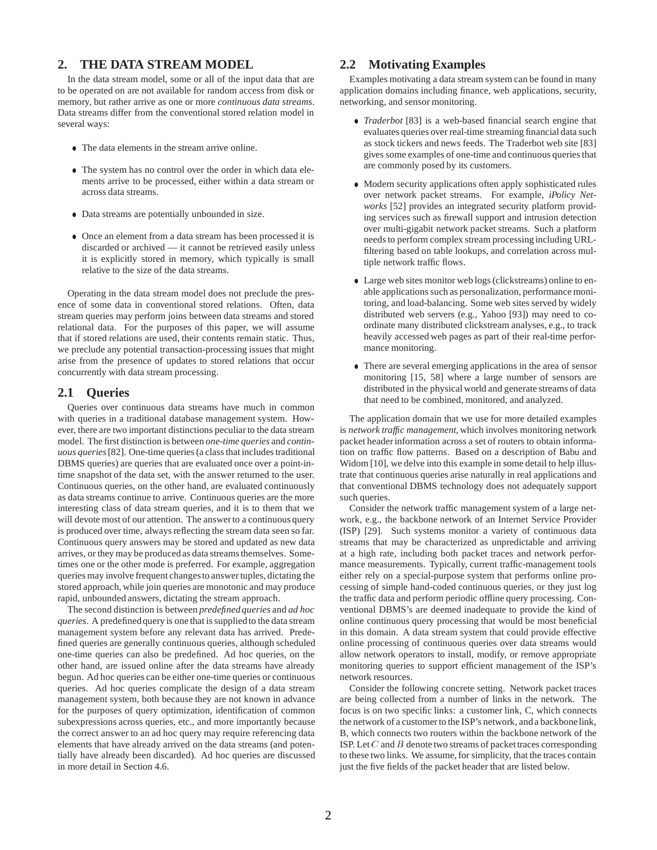# **2. THE DATA STREAM MODEL**

In the data stream model, some or all of the input data that are to be operated on are not available for random access from disk or memory, but rather arrive as one or more *continuous data streams*. Data streams differ from the conventional stored relation model in several ways:

- The data elements in the stream arrive online.
- The system has no control over the order in which data elements arrive to be processed, either within a data stream or across data streams.
- Data streams are potentially unbounded in size.
- Once an element from a data stream has been processed it is discarded or archived — it cannot be retrieved easily unless it is explicitly stored in memory, which typically is small relative to the size of the data streams.

Operating in the data stream model does not preclude the presence of some data in conventional stored relations. Often, data stream queries may perform joins between data streams and stored relational data. For the purposes of this paper, we will assume that if stored relations are used, their contents remain static. Thus, we preclude any potential transaction-processing issues that might arise from the presence of updates to stored relations that occur concurrently with data stream processing.

## **2.1 Queries**

Queries over continuous data streams have much in common with queries in a traditional database management system. However, there are two important distinctions peculiar to the data stream model. The first distinction is between *one-time queries* and *continuous queries*[82]. One-time queries (a class that includes traditional DBMS queries) are queries that are evaluated once over a point-intime snapshot of the data set, with the answer returned to the user. Continuous queries, on the other hand, are evaluated continuously as data streams continue to arrive. Continuous queries are the more interesting class of data stream queries, and it is to them that we will devote most of our attention. The answer to a continuous query is produced over time, always reflecting the stream data seen so far. Continuous query answers may be stored and updated as new data arrives, or they may be produced as data streams themselves. Sometimes one or the other mode is preferred. For example, aggregation queries may involve frequent changesto answer tuples, dictating the stored approach, while join queries are monotonic and may produce rapid, unbounded answers, dictating the stream approach.

The second distinction is between *predefined queries* and *ad hoc queries*. A predefinedquery is one that is supplied to the data stream management system before any relevant data has arrived. Predefined queries are generally continuous queries, although scheduled one-time queries can also be predefined. Ad hoc queries, on the other hand, are issued online after the data streams have already begun. Ad hoc queries can be either one-time queries or continuous queries. Ad hoc queries complicate the design of a data stream management system, both because they are not known in advance for the purposes of query optimization, identification of common subexpressions across queries, etc., and more importantly because the correct answer to an ad hoc query may require referencing data elements that have already arrived on the data streams (and potentially have already been discarded). Ad hoc queries are discussed in more detail in Section 4.6.

# **2.2 Motivating Examples**

Examples motivating a data stream system can be found in many application domains including finance, web applications, security, networking, and sensor monitoring.

- *Traderbot* [83] is a web-based financial search engine that evaluates queries over real-time streaming financial data such as stock tickers and news feeds. The Traderbot web site [83] gives some examples of one-time and continuous queries that are commonly posed by its customers.
- Modern security applications often apply sophisticated rules over network packet streams. For example, *iPolicy Networks* [52] provides an integrated security platform providing services such as firewall support and intrusion detection over multi-gigabit network packet streams. Such a platform needs to perform complex stream processing including URLfiltering based on table lookups, and correlation across multiple network traffic flows.
- Large web sites monitor web logs (clickstreams) online to enable applications such as personalization, performance monitoring, and load-balancing. Some web sites served by widely distributed web servers (e.g., Yahoo [93]) may need to coordinate many distributed clickstream analyses, e.g., to track heavily accessed web pages as part of their real-time performance monitoring.
- There are several emerging applications in the area of sensor monitoring [15, 58] where a large number of sensors are distributed in the physical world and generate streams of data that need to be combined, monitored, and analyzed.

The application domain that we use for more detailed examples is *network traffic management*, which involves monitoring network packet header information across a set of routers to obtain information on traffic flow patterns. Based on a description of Babu and Widom [10], we delve into this example in some detail to help illustrate that continuous queries arise naturally in real applications and that conventional DBMS technology does not adequately support such queries.

Consider the network traffic management system of a large network, e.g., the backbone network of an Internet Service Provider (ISP) [29]. Such systems monitor a variety of continuous data streams that may be characterized as unpredictable and arriving at a high rate, including both packet traces and network performance measurements. Typically, current traffic-management tools either rely on a special-purpose system that performs online processing of simple hand-coded continuous queries, or they just log the traffic data and perform periodic offline query processing. Conventional DBMS's are deemed inadequate to provide the kind of online continuous query processing that would be most beneficial in this domain. A data stream system that could provide effective online processing of continuous queries over data streams would allow network operators to install, modify, or remove appropriate monitoring queries to support efficient management of the ISP's network resources.

Consider the following concrete setting. Network packet traces are being collected from a number of links in the network. The focus is on two specific links: a customer link, C, which connects the network of a customer to the ISP's network, and a backbonelink, B, which connects two routers within the backbone network of the ISP. Let  $C$  and  $B$  denote two streams of packet traces corresponding to these two links. We assume, for simplicity, that the traces contain just the five fields of the packet header that are listed below.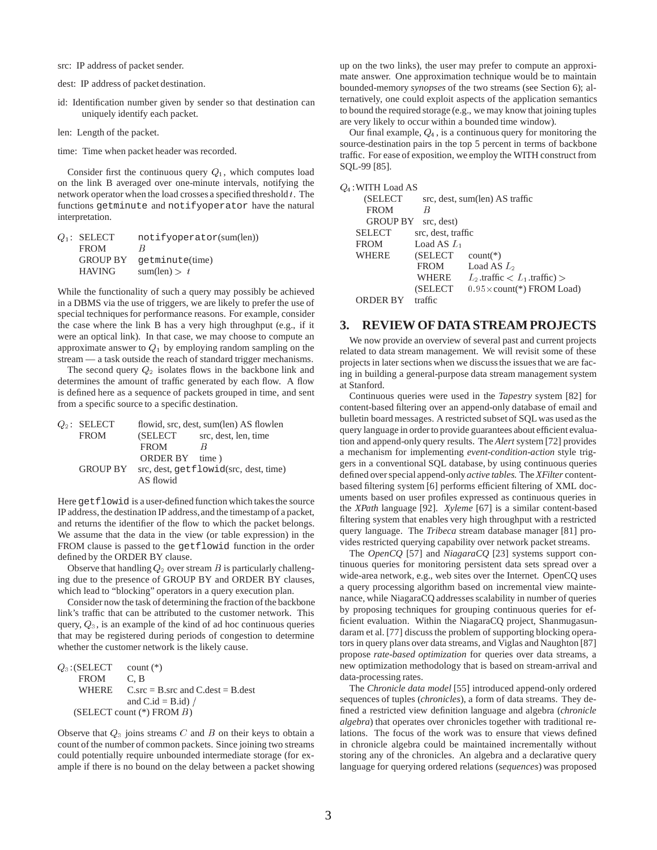src: IP address of packet sender.

dest: IP address of packet destination.

- id: Identification number given by sender so that destination can uniquely identify each packet.
- len: Length of the packet.

time: Time when packet header was recorded.

Consider first the continuous query  $Q_1$ , which computes load on the link B averaged over one-minute intervals, notifying the network operator when the load crosses a specified threshold  $t$ . The functions getminute and notifyoperator have the natural interpretation.

| $Q_1$ : SELECT  | notifyoperator(sum(len)) |
|-----------------|--------------------------|
| <b>FROM</b>     | к                        |
| <b>GROUP BY</b> | qetminute(time)          |
| <b>HAVING</b>   | sum(len) $> t$           |

While the functionality of such a query may possibly be achieved in a DBMS via the use of triggers, we are likely to prefer the use of special techniques for performance reasons. For example, consider the case where the link B has a very high throughput (e.g., if it were an optical link). In that case, we may choose to compute an approximate answer to  $Q_1$  by employing random sampling on the stream — a task outside the reach of standard trigger mechanisms.

The second query  $Q_2$  isolates flows in the backbone link and determines the amount of traffic generated by each flow. A flow is defined here as a sequence of packets grouped in time, and sent from a specific source to a specific destination.

| $Q_2$ : SELECT  | flowid, src, dest, sum(len) AS flowlen |                                       |
|-----------------|----------------------------------------|---------------------------------------|
| <b>FROM</b>     | <b>(SELECT)</b>                        | src, dest, len, time                  |
|                 | <b>FROM</b>                            | R                                     |
|                 | ORDER BY time)                         |                                       |
| <b>GROUP BY</b> |                                        | src, dest, qetflowid(src, dest, time) |
|                 | AS flowid                              |                                       |

Here getflowid is a user-defined function which takes the source IP address, the destination IP address, and the timestamp of a packet, and returns the identifier of the flow to which the packet belongs. We assume that the data in the view (or table expression) in the FROM clause is passed to the getflowid function in the order defined by the ORDER BY clause.

Observe that handling  $Q_2$  over stream B is particularly challenging due to the presence of GROUP BY and ORDER BY clauses, which lead to "blocking" operators in a query execution plan.

Consider now the task of determining the fraction of the backbone link's traffic that can be attributed to the customer network. This query,  $Q_3$ , is an example of the kind of ad hoc continuous queries that may be registered during periods of congestion to determine whether the customer network is the likely cause.

```
Q_3:(SELECT count (*)FROM C, B<br>WHERE C.sro
                    C.\text{src} = B.\text{src} and C.\text{dest} = B.\text{dest}and C.id = B.id /
    (SELECT count (*) FROM B)
```
Observe that  $Q_3$  joins streams C and B on their keys to obtain a count of the number of common packets. Since joining two streams could potentially require unbounded intermediate storage (for example if there is no bound on the delay between a packet showing up on the two links), the user may prefer to compute an approximate answer. One approximation technique would be to maintain bounded-memory *synopses* of the two streams (see Section 6); alternatively, one could exploit aspects of the application semantics to bound the required storage (e.g., we may know that joining tuples are very likely to occur within a bounded time window).

Our final example,  $Q_4$ , is a continuous query for monitoring the source-destination pairs in the top 5 percent in terms of backbone traffic. For ease of exposition, we employ the WITH construct from SQL-99 [85].

| $Q_4$ : WITH Load AS |                    |                                                      |
|----------------------|--------------------|------------------------------------------------------|
| <b>(SELECT)</b>      |                    | src, dest, sum(len) AS traffic                       |
| <b>FROM</b>          | В                  |                                                      |
| <b>GROUP BY</b>      | src, dest)         |                                                      |
| <b>SELECT</b>        | src, dest, traffic |                                                      |
| <b>FROM</b>          | Load AS $L_1$      |                                                      |
| <b>WHERE</b>         | <b>(SELECT</b>     | $count(*)$                                           |
|                      | <b>FROM</b>        | Load AS $L_2$                                        |
|                      | WHERE              | $L_2$ .traffic $\langle L_1$ .traffic) $>$           |
|                      | <b>(SELECT</b>     | $0.95 \times \text{count}$ <sup>*</sup> ) FROM Load) |
| RDER BY              | traffic            |                                                      |

# **3. REVIEW OF DATA STREAM PROJECTS**

We now provide an overview of several past and current projects related to data stream management. We will revisit some of these projects in later sections when we discuss the issues that we are facing in building a general-purpose data stream management system at Stanford.

Continuous queries were used in the *Tapestry* system [82] for content-based filtering over an append-only database of email and bulletin board messages. A restricted subsetof SQL was used as the query language in order to provide guarantees about efficient evaluation and append-only query results. The *Alert* system [72] provides a mechanism for implementing *event-condition-action* style triggers in a conventional SQL database, by using continuous queries defined over special append-only *active tables*. The *XFilter* contentbased filtering system [6] performs efficient filtering of XML documents based on user profiles expressed as continuous queries in the *XPath* language [92]. *Xyleme* [67] is a similar content-based filtering system that enables very high throughput with a restricted query language. The *Tribeca* stream database manager [81] provides restricted querying capability over network packet streams.

The *OpenCQ* [57] and *NiagaraCQ* [23] systems support continuous queries for monitoring persistent data sets spread over a wide-area network, e.g., web sites over the Internet. OpenCQ uses a query processing algorithm based on incremental view maintenance, while NiagaraCQ addresses scalability in number of queries by proposing techniques for grouping continuous queries for efficient evaluation. Within the NiagaraCQ project, Shanmugasundaram et al. [77] discuss the problem of supporting blocking operators in query plans over data streams, and Viglas and Naughton [87] propose *rate-based optimization* for queries over data streams, a new optimization methodology that is based on stream-arrival and data-processing rates.

The *Chronicle data model* [55] introduced append-only ordered sequences of tuples (*chronicles*), a form of data streams. They defined a restricted view definition language and algebra (*chronicle algebra*) that operates over chronicles together with traditional relations. The focus of the work was to ensure that views defined in chronicle algebra could be maintained incrementally without storing any of the chronicles. An algebra and a declarative query language for querying ordered relations (*sequences*) was proposed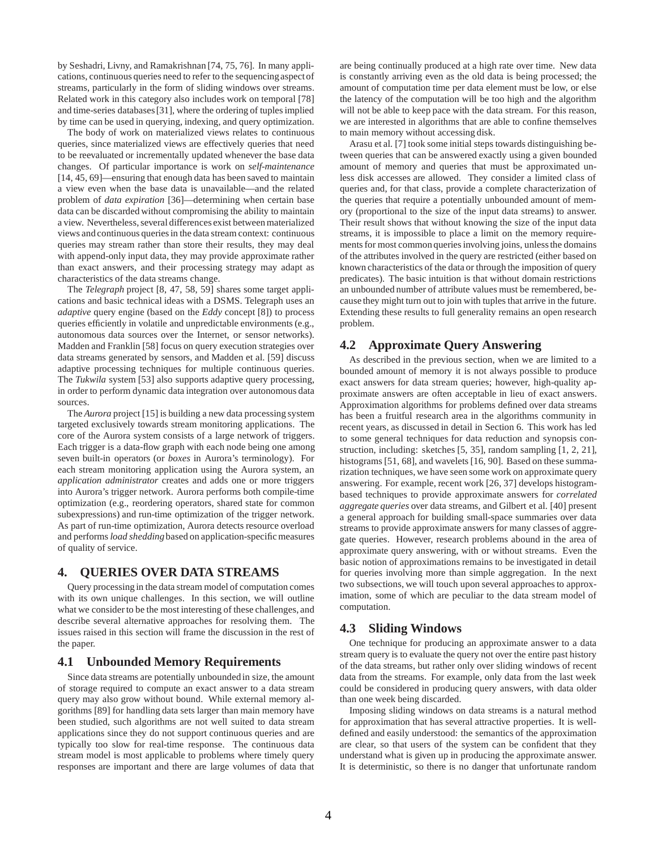by Seshadri, Livny, and Ramakrishnan [74, 75, 76]. In many applications, continuous queries need to refer to the sequencingaspectof streams, particularly in the form of sliding windows over streams. Related work in this category also includes work on temporal [78] and time-series databases[31], where the ordering of tuples implied by time can be used in querying, indexing, and query optimization.

The body of work on materialized views relates to continuous queries, since materialized views are effectively queries that need to be reevaluated or incrementally updated whenever the base data changes. Of particular importance is work on *self-maintenance* [14, 45, 69]—ensuring that enough data has been saved to maintain a view even when the base data is unavailable—and the related problem of *data expiration* [36]—determining when certain base data can be discarded without compromising the ability to maintain a view. Nevertheless, several differences exist between materialized views and continuous queries in the data stream context: continuous queries may stream rather than store their results, they may deal with append-only input data, they may provide approximate rather than exact answers, and their processing strategy may adapt as characteristics of the data streams change.

The *Telegraph* project [8, 47, 58, 59] shares some target applications and basic technical ideas with a DSMS. Telegraph uses an *adaptive* query engine (based on the *Eddy* concept [8]) to process queries efficiently in volatile and unpredictable environments (e.g., autonomous data sources over the Internet, or sensor networks). Madden and Franklin [58] focus on query execution strategies over data streams generated by sensors, and Madden et al. [59] discuss adaptive processing techniques for multiple continuous queries. The *Tukwila* system [53] also supports adaptive query processing, in order to perform dynamic data integration over autonomous data sources.

The *Aurora* project [15] is building a new data processing system targeted exclusively towards stream monitoring applications. The core of the Aurora system consists of a large network of triggers. Each trigger is a data-flow graph with each node being one among seven built-in operators (or *boxes* in Aurora's terminology). For each stream monitoring application using the Aurora system, an *application administrator* creates and adds one or more triggers into Aurora's trigger network. Aurora performs both compile-time optimization (e.g., reordering operators, shared state for common subexpressions) and run-time optimization of the trigger network. As part of run-time optimization, Aurora detects resource overload and performs *load shedding* based on application-specific measures of quality of service.

# **4. QUERIES OVER DATA STREAMS**

Query processing in the data stream model of computation comes with its own unique challenges. In this section, we will outline what we consider to be the most interesting of these challenges, and describe several alternative approaches for resolving them. The issues raised in this section will frame the discussion in the rest of the paper.

## **4.1 Unbounded Memory Requirements**

Since data streams are potentially unbounded in size, the amount of storage required to compute an exact answer to a data stream query may also grow without bound. While external memory algorithms [89] for handling data sets larger than main memory have been studied, such algorithms are not well suited to data stream applications since they do not support continuous queries and are typically too slow for real-time response. The continuous data stream model is most applicable to problems where timely query responses are important and there are large volumes of data that

are being continually produced at a high rate over time. New data is constantly arriving even as the old data is being processed; the amount of computation time per data element must be low, or else the latency of the computation will be too high and the algorithm will not be able to keep pace with the data stream. For this reason, we are interested in algorithms that are able to confine themselves to main memory without accessing disk.

Arasu et al. [7] took some initial steps towards distinguishing between queries that can be answered exactly using a given bounded amount of memory and queries that must be approximated unless disk accesses are allowed. They consider a limited class of queries and, for that class, provide a complete characterization of the queries that require a potentially unbounded amount of memory (proportional to the size of the input data streams) to answer. Their result shows that without knowing the size of the input data streams, it is impossible to place a limit on the memory requirements for most common queries involving joins, unless the domains of the attributes involved in the query are restricted (either based on known characteristics of the data or through the imposition of query predicates). The basic intuition is that without domain restrictions an unbounded number of attribute values must be remembered, because they might turn out to join with tuples that arrive in the future. Extending these results to full generality remains an open research problem.

## **4.2 Approximate Query Answering**

As described in the previous section, when we are limited to a bounded amount of memory it is not always possible to produce exact answers for data stream queries; however, high-quality approximate answers are often acceptable in lieu of exact answers. Approximation algorithms for problems defined over data streams has been a fruitful research area in the algorithms community in recent years, as discussed in detail in Section 6. This work has led to some general techniques for data reduction and synopsis construction, including: sketches [5, 35], random sampling [1, 2, 21], histograms [51, 68], and wavelets [16, 90]. Based on these summarization techniques, we have seen some work on approximate query answering. For example, recent work [26, 37] develops histogrambased techniques to provide approximate answers for *correlated aggregate queries* over data streams, and Gilbert et al. [40] present a general approach for building small-space summaries over data streams to provide approximate answers for many classes of aggregate queries. However, research problems abound in the area of approximate query answering, with or without streams. Even the basic notion of approximations remains to be investigated in detail for queries involving more than simple aggregation. In the next two subsections, we will touch upon several approaches to approximation, some of which are peculiar to the data stream model of computation.

# **4.3 Sliding Windows**

One technique for producing an approximate answer to a data stream query is to evaluate the query not over the entire past history of the data streams, but rather only over sliding windows of recent data from the streams. For example, only data from the last week could be considered in producing query answers, with data older than one week being discarded.

Imposing sliding windows on data streams is a natural method for approximation that has several attractive properties. It is welldefined and easily understood: the semantics of the approximation are clear, so that users of the system can be confident that they understand what is given up in producing the approximate answer. It is deterministic, so there is no danger that unfortunate random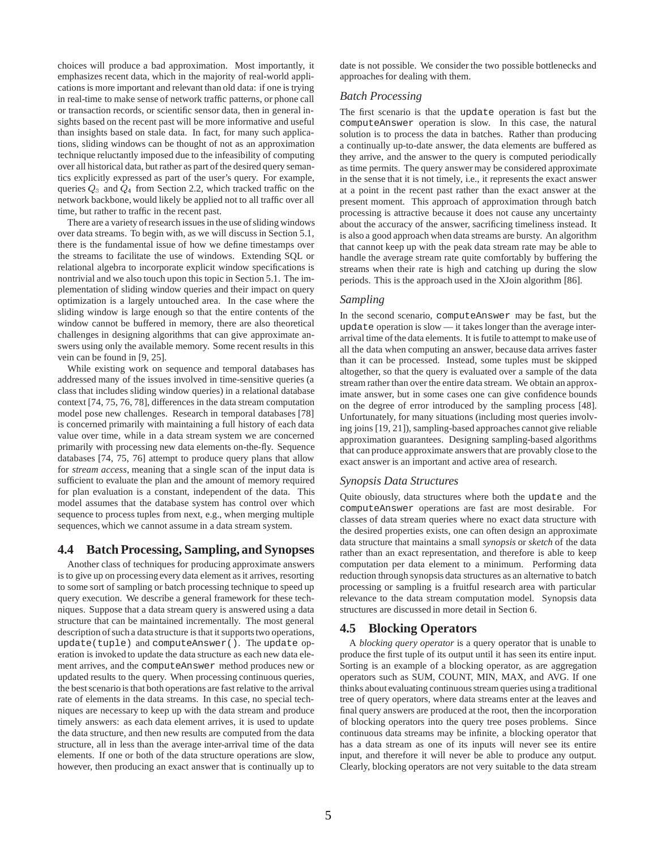choices will produce a bad approximation. Most importantly, it emphasizes recent data, which in the majority of real-world applications is more important and relevant than old data: if one is trying in real-time to make sense of network traffic patterns, or phone call or transaction records, or scientific sensor data, then in general insights based on the recent past will be more informative and useful than insights based on stale data. In fact, for many such applications, sliding windows can be thought of not as an approximation technique reluctantly imposed due to the infeasibility of computing over all historical data, but rather as part of the desired query semantics explicitly expressed as part of the user's query. For example, queries  $Q_3$  and  $Q_4$  from Section 2.2, which tracked traffic on the network backbone, would likely be applied not to all traffic over all time, but rather to traffic in the recent past.

There are a variety of research issues in the use of sliding windows over data streams. To begin with, as we will discuss in Section 5.1, there is the fundamental issue of how we define timestamps over the streams to facilitate the use of windows. Extending SQL or relational algebra to incorporate explicit window specifications is nontrivial and we also touch upon this topic in Section 5.1. The implementation of sliding window queries and their impact on query optimization is a largely untouched area. In the case where the sliding window is large enough so that the entire contents of the window cannot be buffered in memory, there are also theoretical challenges in designing algorithms that can give approximate answers using only the available memory. Some recent results in this vein can be found in [9, 25].

While existing work on sequence and temporal databases has addressed many of the issues involved in time-sensitive queries (a class that includes sliding window queries) in a relational database context [74, 75, 76, 78], differences in the data stream computation model pose new challenges. Research in temporal databases [78] is concerned primarily with maintaining a full history of each data value over time, while in a data stream system we are concerned primarily with processing new data elements on-the-fly. Sequence databases [74, 75, 76] attempt to produce query plans that allow for *stream access*, meaning that a single scan of the input data is sufficient to evaluate the plan and the amount of memory required for plan evaluation is a constant, independent of the data. This model assumes that the database system has control over which sequence to process tuples from next, e.g., when merging multiple sequences, which we cannot assume in a data stream system.

## **4.4 Batch Processing, Sampling, and Synopses**

Another class of techniques for producing approximate answers is to give up on processing every data element as it arrives, resorting to some sort of sampling or batch processing technique to speed up query execution. We describe a general framework for these techniques. Suppose that a data stream query is answered using a data structure that can be maintained incrementally. The most general description of such a data structure is that it supports two operations, update(tuple) and computeAnswer(). The update operation is invoked to update the data structure as each new data element arrives, and the computeAnswer method produces new or updated results to the query. When processing continuous queries, the best scenario is that both operations are fast relative to the arrival rate of elements in the data streams. In this case, no special techniques are necessary to keep up with the data stream and produce timely answers: as each data element arrives, it is used to update the data structure, and then new results are computed from the data structure, all in less than the average inter-arrival time of the data elements. If one or both of the data structure operations are slow, however, then producing an exact answer that is continually up to date is not possible. We consider the two possible bottlenecks and approaches for dealing with them.

#### *Batch Processing*

The first scenario is that the update operation is fast but the computeAnswer operation is slow. In this case, the natural solution is to process the data in batches. Rather than producing a continually up-to-date answer, the data elements are buffered as they arrive, and the answer to the query is computed periodically as time permits. The query answer may be considered approximate in the sense that it is not timely, i.e., it represents the exact answer at a point in the recent past rather than the exact answer at the present moment. This approach of approximation through batch processing is attractive because it does not cause any uncertainty about the accuracy of the answer, sacrificing timeliness instead. It is also a good approach when data streams are bursty. An algorithm that cannot keep up with the peak data stream rate may be able to handle the average stream rate quite comfortably by buffering the streams when their rate is high and catching up during the slow periods. This is the approach used in the XJoin algorithm [86].

#### *Sampling*

In the second scenario, computeAnswer may be fast, but the update operation is slow — it takes longer than the average interarrival time of the data elements. It is futile to attempt to make use of all the data when computing an answer, because data arrives faster than it can be processed. Instead, some tuples must be skipped altogether, so that the query is evaluated over a sample of the data stream rather than over the entire data stream. We obtain an approximate answer, but in some cases one can give confidence bounds on the degree of error introduced by the sampling process [48]. Unfortunately, for many situations (including most queries involving joins [19, 21]), sampling-based approaches cannot give reliable approximation guarantees. Designing sampling-based algorithms that can produce approximate answers that are provably close to the exact answer is an important and active area of research.

## *Synopsis Data Structures*

Quite obiously, data structures where both the update and the computeAnswer operations are fast are most desirable. For classes of data stream queries where no exact data structure with the desired properties exists, one can often design an approximate data structure that maintains a small *synopsis* or *sketch* of the data rather than an exact representation, and therefore is able to keep computation per data element to a minimum. Performing data reduction through synopsis data structures as an alternative to batch processing or sampling is a fruitful research area with particular relevance to the data stream computation model. Synopsis data structures are discussed in more detail in Section 6.

# **4.5 Blocking Operators**

A *blocking query operator* is a query operator that is unable to produce the first tuple of its output until it has seen its entire input. Sorting is an example of a blocking operator, as are aggregation operators such as SUM, COUNT, MIN, MAX, and AVG. If one thinks about evaluating continuous stream queries using a traditional tree of query operators, where data streams enter at the leaves and final query answers are produced at the root, then the incorporation of blocking operators into the query tree poses problems. Since continuous data streams may be infinite, a blocking operator that has a data stream as one of its inputs will never see its entire input, and therefore it will never be able to produce any output. Clearly, blocking operators are not very suitable to the data stream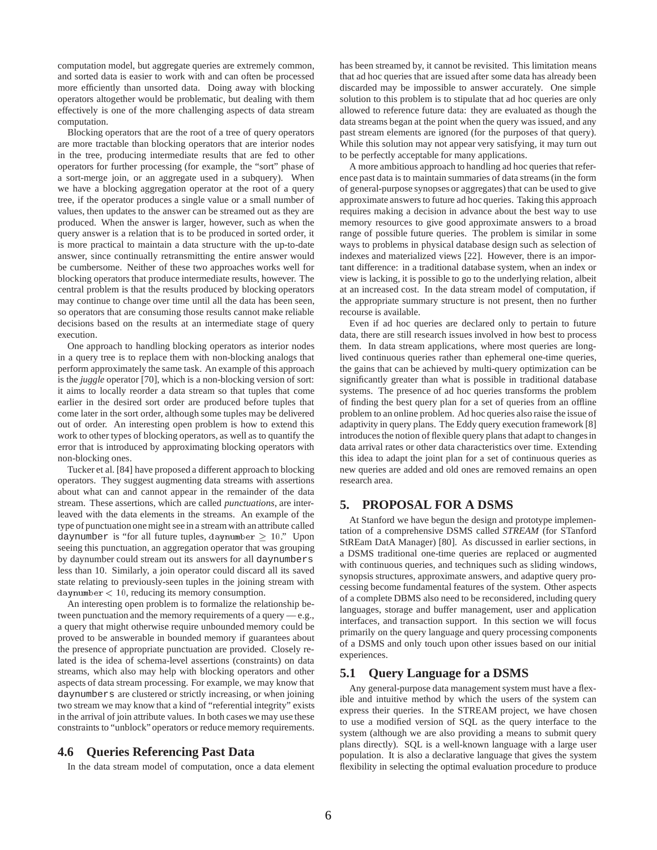computation model, but aggregate queries are extremely common, and sorted data is easier to work with and can often be processed more efficiently than unsorted data. Doing away with blocking operators altogether would be problematic, but dealing with them effectively is one of the more challenging aspects of data stream computation.

Blocking operators that are the root of a tree of query operators are more tractable than blocking operators that are interior nodes in the tree, producing intermediate results that are fed to other operators for further processing (for example, the "sort" phase of a sort-merge join, or an aggregate used in a subquery). When we have a blocking aggregation operator at the root of a query tree, if the operator produces a single value or a small number of values, then updates to the answer can be streamed out as they are produced. When the answer is larger, however, such as when the query answer is a relation that is to be produced in sorted order, it is more practical to maintain a data structure with the up-to-date answer, since continually retransmitting the entire answer would be cumbersome. Neither of these two approaches works well for blocking operators that produce intermediate results, however. The central problem is that the results produced by blocking operators may continue to change over time until all the data has been seen, so operators that are consuming those results cannot make reliable decisions based on the results at an intermediate stage of query execution.

One approach to handling blocking operators as interior nodes in a query tree is to replace them with non-blocking analogs that perform approximately the same task. An example of this approach is the *juggle* operator [70], which is a non-blocking version of sort: it aims to locally reorder a data stream so that tuples that come earlier in the desired sort order are produced before tuples that come later in the sort order, although some tuples may be delivered out of order. An interesting open problem is how to extend this work to other types of blocking operators, as well as to quantify the error that is introduced by approximating blocking operators with non-blocking ones.

Tucker et al. [84] have proposed a different approach to blocking operators. They suggest augmenting data streams with assertions about what can and cannot appear in the remainder of the data stream. These assertions, which are called *punctuations*, are interleaved with the data elements in the streams. An example of the type of punctuation one might see in a stream with an attribute called daynumber is "for all future tuples, daynumber  $\geq 10$ ." Upon seeing this punctuation, an aggregation operator that was grouping by daynumber could stream out its answers for all daynumbers less than 10. Similarly, a join operator could discard all its saved state relating to previously-seen tuples in the joining stream with  $daynumber < 10$ , reducing its memory consumption.

An interesting open problem is to formalize the relationship between punctuation and the memory requirements of a query — e.g., a query that might otherwise require unbounded memory could be proved to be answerable in bounded memory if guarantees about the presence of appropriate punctuation are provided. Closely related is the idea of schema-level assertions (constraints) on data streams, which also may help with blocking operators and other aspects of data stream processing. For example, we may know that daynumbers are clustered or strictly increasing, or when joining two stream we may know that a kind of "referential integrity" exists in the arrival of join attribute values. In both cases we may use these constraints to "unblock" operators or reduce memory requirements.

## **4.6 Queries Referencing Past Data**

In the data stream model of computation, once a data element

has been streamed by, it cannot be revisited. This limitation means that ad hoc queries that are issued after some data has already been discarded may be impossible to answer accurately. One simple solution to this problem is to stipulate that ad hoc queries are only allowed to reference future data: they are evaluated as though the data streams began at the point when the query was issued, and any past stream elements are ignored (for the purposes of that query). While this solution may not appear very satisfying, it may turn out to be perfectly acceptable for many applications.

A more ambitious approach to handling ad hoc queries that reference past data is to maintain summaries of data streams (in the form of general-purpose synopses or aggregates) that can be used to give approximate answers to future ad hoc queries. Taking this approach requires making a decision in advance about the best way to use memory resources to give good approximate answers to a broad range of possible future queries. The problem is similar in some ways to problems in physical database design such as selection of indexes and materialized views [22]. However, there is an important difference: in a traditional database system, when an index or view is lacking, it is possible to go to the underlying relation, albeit at an increased cost. In the data stream model of computation, if the appropriate summary structure is not present, then no further recourse is available.

Even if ad hoc queries are declared only to pertain to future data, there are still research issues involved in how best to process them. In data stream applications, where most queries are longlived continuous queries rather than ephemeral one-time queries, the gains that can be achieved by multi-query optimization can be significantly greater than what is possible in traditional database systems. The presence of ad hoc queries transforms the problem of finding the best query plan for a set of queries from an offline problem to an online problem. Ad hoc queries also raise the issue of adaptivity in query plans. The Eddy query execution framework [8] introduces the notion of flexible query plans that adapt to changesin data arrival rates or other data characteristics over time. Extending this idea to adapt the joint plan for a set of continuous queries as new queries are added and old ones are removed remains an open research area.

## **5. PROPOSAL FOR A DSMS**

At Stanford we have begun the design and prototype implementation of a comprehensive DSMS called *STREAM* (for STanford StREam DatA Manager) [80]. As discussed in earlier sections, in a DSMS traditional one-time queries are replaced or augmented with continuous queries, and techniques such as sliding windows, synopsis structures, approximate answers, and adaptive query processing become fundamental features of the system. Other aspects of a complete DBMS also need to be reconsidered, including query languages, storage and buffer management, user and application interfaces, and transaction support. In this section we will focus primarily on the query language and query processing components of a DSMS and only touch upon other issues based on our initial experiences.

## **5.1 Query Language for a DSMS**

Any general-purpose data management system must have a flexible and intuitive method by which the users of the system can express their queries. In the STREAM project, we have chosen to use a modified version of SQL as the query interface to the system (although we are also providing a means to submit query plans directly). SQL is a well-known language with a large user population. It is also a declarative language that gives the system flexibility in selecting the optimal evaluation procedure to produce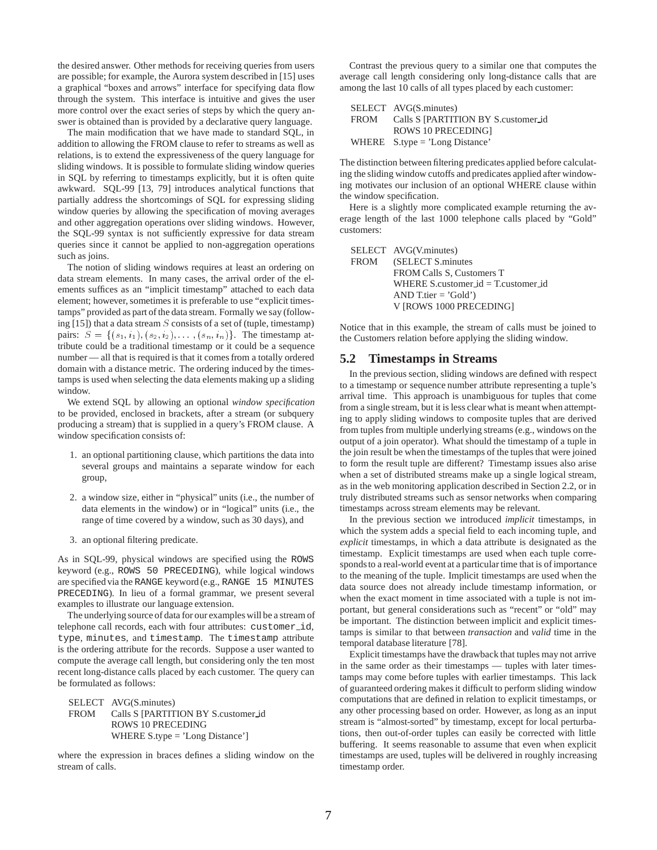the desired answer. Other methods for receiving queries from users are possible; for example, the Aurora system described in [15] uses a graphical "boxes and arrows" interface for specifying data flow through the system. This interface is intuitive and gives the user more control over the exact series of steps by which the query answer is obtained than is provided by a declarative query language.

The main modification that we have made to standard SQL, in addition to allowing the FROM clause to refer to streams as well as relations, is to extend the expressiveness of the query language for sliding windows. It is possible to formulate sliding window queries in SQL by referring to timestamps explicitly, but it is often quite awkward. SQL-99 [13, 79] introduces analytical functions that partially address the shortcomings of SQL for expressing sliding window queries by allowing the specification of moving averages and other aggregation operations over sliding windows. However, the SQL-99 syntax is not sufficiently expressive for data stream queries since it cannot be applied to non-aggregation operations such as joins.

The notion of sliding windows requires at least an ordering on data stream elements. In many cases, the arrival order of the elements suffices as an "implicit timestamp" attached to each data element; however, sometimes it is preferable to use "explicit timestamps" provided as part of the data stream. Formally we say (following  $[15]$ ) that a data stream S consists of a set of (tuple, timestamp) pairs:  $S = \{(s_1, i_1), (s_2, i_2), \ldots, (s_n, i_n)\}.$  The timestamp attribute could be a traditional timestamp or it could be a sequence number — all that is required is that it comes from a totally ordered domain with a distance metric. The ordering induced by the timestamps is used when selecting the data elements making up a sliding window.

We extend SQL by allowing an optional *window specification* to be provided, enclosed in brackets, after a stream (or subquery producing a stream) that is supplied in a query's FROM clause. A window specification consists of:

- 1. an optional partitioning clause, which partitions the data into several groups and maintains a separate window for each group,
- 2. a window size, either in "physical" units (i.e., the number of data elements in the window) or in "logical" units (i.e., the range of time covered by a window, such as 30 days), and
- 3. an optional filtering predicate.

As in SQL-99, physical windows are specified using the ROWS keyword (e.g., ROWS 50 PRECEDING), while logical windows are specified via the RANGE keyword (e.g., RANGE 15 MINUTES PRECEDING). In lieu of a formal grammar, we present several examples to illustrate our language extension.

The underlying source of data for our examples will be a stream of telephone call records, each with four attributes: customer\_id, type, minutes, and timestamp. The timestamp attribute is the ordering attribute for the records. Suppose a user wanted to compute the average call length, but considering only the ten most recent long-distance calls placed by each customer. The query can be formulated as follows:

SELECT AVG(S.minutes) FROM Calls S [PARTITION BY S.customer id ROWS 10 PRECEDING WHERE S.type = 'Long Distance']

where the expression in braces defines a sliding window on the stream of calls.

Contrast the previous query to a similar one that computes the average call length considering only long-distance calls that are among the last 10 calls of all types placed by each customer:

| SELECT AVG(S.minutes)                    |
|------------------------------------------|
| FROM Calls S [PARTITION BY S.customer_id |
| ROWS 10 PRECEDING1                       |
| WHERE $S_type = 'Long Distance'$         |

The distinction between filtering predicates applied before calculating the sliding window cutoffs and predicates applied after windowing motivates our inclusion of an optional WHERE clause within the window specification.

Here is a slightly more complicated example returning the average length of the last 1000 telephone calls placed by "Gold" customers:

|      | SELECT AVG(V.minutes)               |
|------|-------------------------------------|
| FROM | (SELECT S.minutes)                  |
|      | FROM Calls S, Customers T           |
|      | WHERE S.customer_id = T.customer_id |
|      | AND T.tier = $'Gold'$ )             |
|      | V [ROWS 1000 PRECEDING]             |

Notice that in this example, the stream of calls must be joined to the Customers relation before applying the sliding window.

## **5.2 Timestamps in Streams**

In the previous section, sliding windows are defined with respect to a timestamp or sequence number attribute representing a tuple's arrival time. This approach is unambiguous for tuples that come from a single stream, but it is less clear what is meant when attempting to apply sliding windows to composite tuples that are derived from tuples from multiple underlying streams (e.g., windows on the output of a join operator). What should the timestamp of a tuple in the join result be when the timestamps of the tuples that were joined to form the result tuple are different? Timestamp issues also arise when a set of distributed streams make up a single logical stream, as in the web monitoring application described in Section 2.2, or in truly distributed streams such as sensor networks when comparing timestamps across stream elements may be relevant.

In the previous section we introduced *implicit* timestamps, in which the system adds a special field to each incoming tuple, and *explicit* timestamps, in which a data attribute is designated as the timestamp. Explicit timestamps are used when each tuple correspondsto a real-world event at a particular time that is of importance to the meaning of the tuple. Implicit timestamps are used when the data source does not already include timestamp information, or when the exact moment in time associated with a tuple is not important, but general considerations such as "recent" or "old" may be important. The distinction between implicit and explicit timestamps is similar to that between *transaction* and *valid* time in the temporal database literature [78].

Explicit timestamps have the drawback that tuples may not arrive in the same order as their timestamps — tuples with later timestamps may come before tuples with earlier timestamps. This lack of guaranteed ordering makes it difficult to perform sliding window computations that are defined in relation to explicit timestamps, or any other processing based on order. However, as long as an input stream is "almost-sorted" by timestamp, except for local perturbations, then out-of-order tuples can easily be corrected with little buffering. It seems reasonable to assume that even when explicit timestamps are used, tuples will be delivered in roughly increasing timestamp order.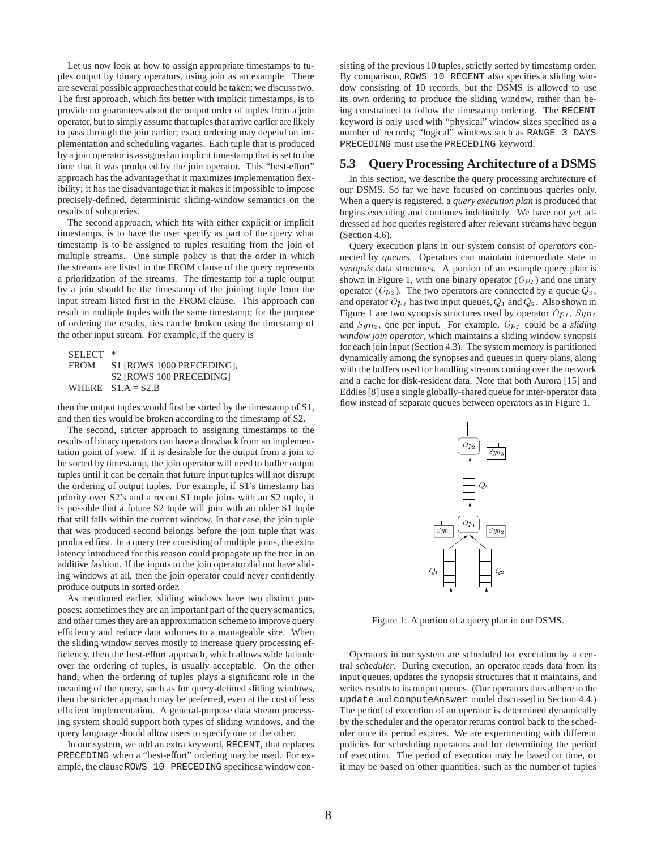Let us now look at how to assign appropriate timestamps to tuples output by binary operators, using join as an example. There are several possible approachesthat could be taken; we discuss two. The first approach, which fits better with implicit timestamps, is to provide no guarantees about the output order of tuples from a join operator, but to simply assume that tuples that arrive earlier are likely to pass through the join earlier; exact ordering may depend on implementation and scheduling vagaries. Each tuple that is produced by a join operator is assigned an implicit timestamp that is set to the time that it was produced by the join operator. This "best-effort" approach has the advantage that it maximizes implementation flexibility; it has the disadvantage that it makes it impossible to impose precisely-defined, deterministic sliding-window semantics on the results of subqueries.

The second approach, which fits with either explicit or implicit timestamps, is to have the user specify as part of the query what timestamp is to be assigned to tuples resulting from the join of multiple streams. One simple policy is that the order in which the streams are listed in the FROM clause of the query represents a prioritization of the streams. The timestamp for a tuple output by a join should be the timestamp of the joining tuple from the input stream listed first in the FROM clause. This approach can result in multiple tuples with the same timestamp; for the purpose of ordering the results, ties can be broken using the timestamp of the other input stream. For example, if the query is

```
SELECT *
FROM S1 [ROWS 1000 PRECEDING],
        S2 [ROWS 100 PRECEDING]
WHERE S1.A = S2.B
```
then the output tuples would first be sorted by the timestamp of S1, and then ties would be broken according to the timestamp of S2.

The second, stricter approach to assigning timestamps to the results of binary operators can have a drawback from an implementation point of view. If it is desirable for the output from a join to be sorted by timestamp, the join operator will need to buffer output tuples until it can be certain that future input tuples will not disrupt the ordering of output tuples. For example, if S1's timestamp has priority over S2's and a recent S1 tuple joins with an S2 tuple, it is possible that a future S2 tuple will join with an older S1 tuple that still falls within the current window. In that case, the join tuple that was produced second belongs before the join tuple that was produced first. In a query tree consisting of multiple joins, the extra latency introduced for this reason could propagate up the tree in an additive fashion. If the inputs to the join operator did not have sliding windows at all, then the join operator could never confidently produce outputs in sorted order.

As mentioned earlier, sliding windows have two distinct purposes: sometimes they are an important part of the query semantics, and other times they are an approximation scheme to improve query efficiency and reduce data volumes to a manageable size. When the sliding window serves mostly to increase query processing efficiency, then the best-effort approach, which allows wide latitude over the ordering of tuples, is usually acceptable. On the other hand, when the ordering of tuples plays a significant role in the meaning of the query, such as for query-defined sliding windows, then the stricter approach may be preferred, even at the cost of less efficient implementation. A general-purpose data stream processing system should support both types of sliding windows, and the query language should allow users to specify one or the other.

In our system, we add an extra keyword, RECENT, that replaces PRECEDING when a "best-effort" ordering may be used. For example, the clause ROWS 10 PRECEDING specifies a window consisting of the previous 10 tuples, strictly sorted by timestamp order. By comparison, ROWS 10 RECENT also specifies a sliding window consisting of 10 records, but the DSMS is allowed to use its own ordering to produce the sliding window, rather than being constrained to follow the timestamp ordering. The RECENT keyword is only used with "physical" window sizes specified as a number of records; "logical" windows such as RANGE 3 DAYS PRECEDING must use the PRECEDING keyword.

## **5.3 Query Processing Architecture of a DSMS**

In this section, we describe the query processing architecture of our DSMS. So far we have focused on continuous queries only. When a query is registered, a *query execution plan* is produced that begins executing and continues indefinitely. We have not yet addressed ad hoc queries registered after relevant streams have begun (Section 4.6).

Query execution plans in our system consist of *operators* connected by *queues*. Operators can maintain intermediate state in *synopsis* data structures. A portion of an example query plan is shown in Figure 1, with one binary operator  $(\mathcal{O}_{p_1})$  and one unary operator ( $Op_2$ ). The two operators are connected by a queue  $Q_3$ , and operator  $Op_1$  has two input queues,  $Q_1$  and  $Q_2$ . Also shown in Figure 1 are two synopsis structures used by operator  $Op_1$ ,  $Syn_1$ and  $Syn_2$ , one per input. For example,  $Op_1$  could be a *sliding window join operator*, which maintains a sliding window synopsis for each join input (Section 4.3). The system memory is partitioned dynamically among the synopses and queues in query plans, along with the buffers used for handling streams coming over the network and a cache for disk-resident data. Note that both Aurora [15] and Eddies [8] use a single globally-shared queue for inter-operator data flow instead of separate queues between operators as in Figure 1.



Figure 1: A portion of a query plan in our DSMS.

Operators in our system are scheduled for execution by a central *scheduler*. During execution, an operator reads data from its input queues, updates the synopsis structures that it maintains, and writes results to its output queues. (Our operators thus adhere to the update and computeAnswer model discussed in Section 4.4.) The period of execution of an operator is determined dynamically by the scheduler and the operator returns control back to the scheduler once its period expires. We are experimenting with different policies for scheduling operators and for determining the period of execution. The period of execution may be based on time, or it may be based on other quantities, such as the number of tuples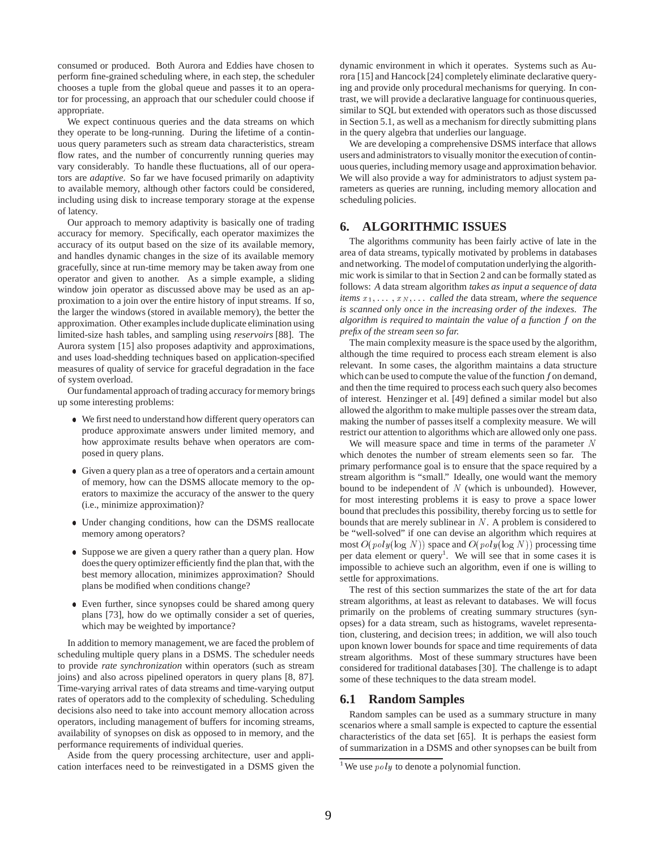consumed or produced. Both Aurora and Eddies have chosen to perform fine-grained scheduling where, in each step, the scheduler chooses a tuple from the global queue and passes it to an operator for processing, an approach that our scheduler could choose if appropriate.

We expect continuous queries and the data streams on which they operate to be long-running. During the lifetime of a continuous query parameters such as stream data characteristics, stream flow rates, and the number of concurrently running queries may vary considerably. To handle these fluctuations, all of our operators are *adaptive*. So far we have focused primarily on adaptivity to available memory, although other factors could be considered, including using disk to increase temporary storage at the expense of latency.

Our approach to memory adaptivity is basically one of trading accuracy for memory. Specifically, each operator maximizes the accuracy of its output based on the size of its available memory, and handles dynamic changes in the size of its available memory gracefully, since at run-time memory may be taken away from one operator and given to another. As a simple example, a sliding window join operator as discussed above may be used as an approximation to a join over the entire history of input streams. If so, the larger the windows (stored in available memory), the better the approximation. Other examples include duplicate elimination using limited-size hash tables, and sampling using *reservoirs* [88]. The Aurora system [15] also proposes adaptivity and approximations, and uses load-shedding techniques based on application-specified measures of quality of service for graceful degradation in the face of system overload.

Our fundamental approach of trading accuracy for memory brings up some interesting problems:

- We first need to understand how different query operators can produce approximate answers under limited memory, and how approximate results behave when operators are composed in query plans.
- Given a query plan as a tree of operators and a certain amount of memory, how can the DSMS allocate memory to the operators to maximize the accuracy of the answer to the query (i.e., minimize approximation)?
- Under changing conditions, how can the DSMS reallocate memory among operators?
- Suppose we are given a query rather than a query plan. How doesthe query optimizer efficiently find the plan that, with the best memory allocation, minimizes approximation? Should plans be modified when conditions change?
- Even further, since synopses could be shared among query plans [73], how do we optimally consider a set of queries, which may be weighted by importance?

In addition to memory management, we are faced the problem of scheduling multiple query plans in a DSMS. The scheduler needs to provide *rate synchronization* within operators (such as stream joins) and also across pipelined operators in query plans [8, 87]. Time-varying arrival rates of data streams and time-varying output rates of operators add to the complexity of scheduling. Scheduling decisions also need to take into account memory allocation across operators, including management of buffers for incoming streams, availability of synopses on disk as opposed to in memory, and the performance requirements of individual queries.

Aside from the query processing architecture, user and application interfaces need to be reinvestigated in a DSMS given the dynamic environment in which it operates. Systems such as Aurora [15] and Hancock [24] completely eliminate declarative querying and provide only procedural mechanisms for querying. In contrast, we will provide a declarative language for continuous queries, similar to SQL but extended with operators such as those discussed in Section 5.1, as well as a mechanism for directly submitting plans in the query algebra that underlies our language.

We are developing a comprehensive DSMS interface that allows users and administrators to visually monitor the execution of continuous queries, including memory usageand approximation behavior. We will also provide a way for administrators to adjust system parameters as queries are running, including memory allocation and scheduling policies.

## **6. ALGORITHMIC ISSUES**

The algorithms community has been fairly active of late in the area of data streams, typically motivated by problems in databases and networking. The model of computation underlying the algorithmic work is similar to that in Section 2 and can be formally stated as follows: *A* data stream algorithm *takes as input a sequence of data items*  $x_1$ ,  $\ldots$ ,  $x_N$ ,  $\ldots$  *called the data stream, where the sequence is scanned only once in the increasing order of the indexes. The algorithm is required to maintain the value of a function* <sup>f</sup> *on the prefix of the stream seen so far.*

The main complexity measure is the space used by the algorithm, although the time required to process each stream element is also relevant. In some cases, the algorithm maintains a data structure which can be used to compute the value of the function  $f$  on demand, and then the time required to process each such query also becomes of interest. Henzinger et al. [49] defined a similar model but also allowed the algorithm to make multiple passes over the stream data, making the number of passes itself a complexity measure. We will restrict our attention to algorithms which are allowed only one pass.

We will measure space and time in terms of the parameter  $N$ which denotes the number of stream elements seen so far. The primary performance goal is to ensure that the space required by a stream algorithm is "small." Ideally, one would want the memory bound to be independent of  $N$  (which is unbounded). However, for most interesting problems it is easy to prove a space lower bound that precludes this possibility, thereby forcing us to settle for bounds that are merely sublinear in N. A problem is considered to be "well-solved" if one can devise an algorithm which requires at most  $O(poly(\log N))$  space and  $O(poly(\log N))$  processing time per data element or query<sup>1</sup>. We will see that in some cases it is impossible to achieve such an algorithm, even if one is willing to settle for approximations.

The rest of this section summarizes the state of the art for data stream algorithms, at least as relevant to databases. We will focus primarily on the problems of creating summary structures (synopses) for a data stream, such as histograms, wavelet representation, clustering, and decision trees; in addition, we will also touch upon known lower bounds for space and time requirements of data stream algorithms. Most of these summary structures have been considered for traditional databases [30]. The challenge is to adapt some of these techniques to the data stream model.

## **6.1 Random Samples**

Random samples can be used as a summary structure in many scenarios where a small sample is expected to capture the essential characteristics of the data set [65]. It is perhaps the easiest form of summarization in a DSMS and other synopses can be built from

<sup>&</sup>lt;sup>1</sup> We use  $poly$  to denote a polynomial function.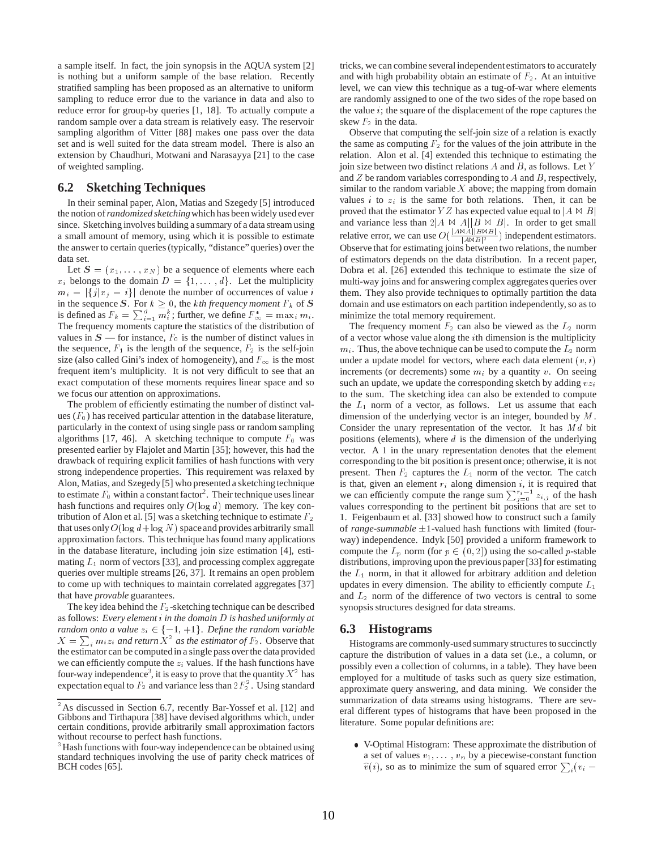a sample itself. In fact, the join synopsis in the AQUA system [2] is nothing but a uniform sample of the base relation. Recently stratified sampling has been proposed as an alternative to uniform sampling to reduce error due to the variance in data and also to reduce error for group-by queries [1, 18]. To actually compute a random sample over a data stream is relatively easy. The reservoir sampling algorithm of Vitter [88] makes one pass over the data set and is well suited for the data stream model. There is also an extension by Chaudhuri, Motwani and Narasayya [21] to the case of weighted sampling.

## **6.2 Sketching Techniques**

In their seminal paper, Alon, Matias and Szegedy [5] introduced the notion of*randomized sketching*which has been widely used ever since. Sketching involves building a summary of a data stream using a small amount of memory, using which it is possible to estimate the answer to certain queries (typically, "distance" queries) over the data set.

Let  $S = (x_1, \ldots, x_N)$  be a sequence of elements where each  $x_i$  belongs to the domain  $D = \{1, \ldots, d\}$ . Let the multiplicity  $m_i = |\{j|x_j = i\}|$  denote the number of occurrences of value i in the sequence S. For  $k \geq 0$ , the *kth frequency moment*  $F_k$  of S is defined as  $F_k = \sum_{i=1}^d m_i^k$ ; further, we define  $F^*_{\infty} = \max_i m_i$ . The frequency moments capture the statistics of the distribution of values in  $S$  — for instance,  $F_0$  is the number of distinct values in the sequence,  $F_1$  is the length of the sequence,  $F_2$  is the self-join size (also called Gini's index of homogeneity), and  $F_{\infty}$  is the most frequent item's multiplicity. It is not very difficult to see that an exact computation of these moments requires linear space and so we focus our attention on approximations.

The problem of efficiently estimating the number of distinct values  $(F_0)$  has received particular attention in the database literature, particularly in the context of using single pass or random sampling algorithms [17, 46]. A sketching technique to compute  $F_0$  was presented earlier by Flajolet and Martin [35]; however, this had the drawback of requiring explicit families of hash functions with very strong independence properties. This requirement was relaxed by Alon, Matias, and Szegedy [5] who presented a sketching technique to estimate  $F_0$  within a constant factor<sup>2</sup>. Their technique uses linear hash functions and requires only  $O(\log d)$  memory. The key contribution of Alon et al. [5] was a sketching technique to estimate  $F_2$ that uses only  $O(\log d + \log N)$  space and provides arbitrarily small approximation factors. This technique has found many applications in the database literature, including join size estimation [4], estimating  $L_1$  norm of vectors [33], and processing complex aggregate queries over multiple streams [26, 37]. It remains an open problem to come up with techniques to maintain correlated aggregates [37] that have *provable* guarantees.

The key idea behind the  $F_2$ -sketching technique can be described as follows: *Every element* i *in the domain* D *is hashed uniformly at random onto a value*  $z_i \in \{-1, +1\}$ *. Define the random variable*  $X = \sum_i m_i z_i$  *and return*  $X^2$  *as the estimator of*  $F_2$ . Observe that the estimator can be computed in a single pass over the data provided we can efficiently compute the  $z_i$  values. If the hash functions have four-way independence<sup>3</sup>, it is easy to prove that the quantity  $X^2$  has expectation equal to  $F_2$  and variance less than  $2F_2^2$ . Using standard

tricks, we can combine several independentestimators to accurately and with high probability obtain an estimate of  $F_2$ . At an intuitive level, we can view this technique as a tug-of-war where elements are randomly assigned to one of the two sides of the rope based on the value  $i$ ; the square of the displacement of the rope captures the skew  $F_2$  in the data.

Observe that computing the self-join size of a relation is exactly the same as computing  $F_2$  for the values of the join attribute in the relation. Alon et al. [4] extended this technique to estimating the join size between two distinct relations  $A$  and  $B$ , as follows. Let Y and  $Z$  be random variables corresponding to  $A$  and  $B$ , respectively, similar to the random variable  $X$  above; the mapping from domain values i to  $z_i$  is the same for both relations. Then, it can be proved that the estimator  $YZ$  has expected value equal to  $|A \bowtie B|$ and variance less than  $2|A \bowtie A||B \bowtie B|$ . In order to get small relative error, we can use  $O(\frac{|AWA||BMB|}{|AMB|^2})$  independent estimators. Observe that for estimating joins between two relations, the number of estimators depends on the data distribution. In a recent paper, Dobra et al. [26] extended this technique to estimate the size of multi-way joins and for answering complex aggregates queries over them. They also provide techniques to optimally partition the data domain and use estimators on each partition independently, so as to minimize the total memory requirement.

The frequency moment  $F_2$  can also be viewed as the  $L_2$  norm of a vector whose value along the ith dimension is the multiplicity  $m<sub>i</sub>$ . Thus, the above technique can be used to compute the  $L<sub>2</sub>$  norm under a update model for vectors, where each data element  $(v, i)$ increments (or decrements) some  $m_i$  by a quantity v. On seeing such an update, we update the corresponding sketch by adding  $v_2$ to the sum. The sketching idea can also be extended to compute the  $L_1$  norm of a vector, as follows. Let us assume that each dimension of the underlying vector is an integer, bounded by M. Consider the unary representation of the vector. It has  $Md$  bit positions (elements), where  $d$  is the dimension of the underlying vector. A <sup>1</sup> in the unary representation denotes that the element corresponding to the bit position is present once; otherwise, it is not present. Then  $F_2$  captures the  $L_1$  norm of the vector. The catch is that, given an element  $r_i$  along dimension  $i$ , it is required that we can efficiently compute the range sum  $\sum_{i=0}^{r_i-1} z_{i,j}$  of the hash values corresponding to the pertinent bit positions that are set to <sup>1</sup>. Feigenbaum et al. [33] showed how to construct such a family of *range-summable*  $\pm 1$ -valued hash functions with limited (fourway) independence. Indyk [50] provided a uniform framework to compute the  $L_p$  norm (for  $p \in (0, 2]$ ) using the so-called p-stable distributions, improving upon the previous paper [33] for estimating the  $L_1$  norm, in that it allowed for arbitrary addition and deletion updates in every dimension. The ability to efficiently compute  $L_1$ and  $L_2$  norm of the difference of two vectors is central to some synopsis structures designed for data streams.

## **6.3 Histograms**

Histograms are commonly-used summary structures to succinctly capture the distribution of values in a data set (i.e., a column, or possibly even a collection of columns, in a table). They have been employed for a multitude of tasks such as query size estimation, approximate query answering, and data mining. We consider the summarization of data streams using histograms. There are several different types of histograms that have been proposed in the literature. Some popular definitions are:

 V-Optimal Histogram: These approximate the distribution of a set of values  $v_1$ ,  $\ldots$ ,  $v_n$  by a piecewise-constant function  $\hat{v}(i)$ , so as to minimize the sum of squared error  $\sum_{i}(v_i -$ 

<sup>&</sup>lt;sup>2</sup>As discussed in Section 6.7, recently Bar-Yossef et al. [12] and Gibbons and Tirthapura [38] have devised algorithms which, under certain conditions, provide arbitrarily small approximation factors without recourse to perfect hash functions.

<sup>&</sup>lt;sup>3</sup> Hash functions with four-way independence can be obtained using standard techniques involving the use of parity check matrices of BCH codes [65].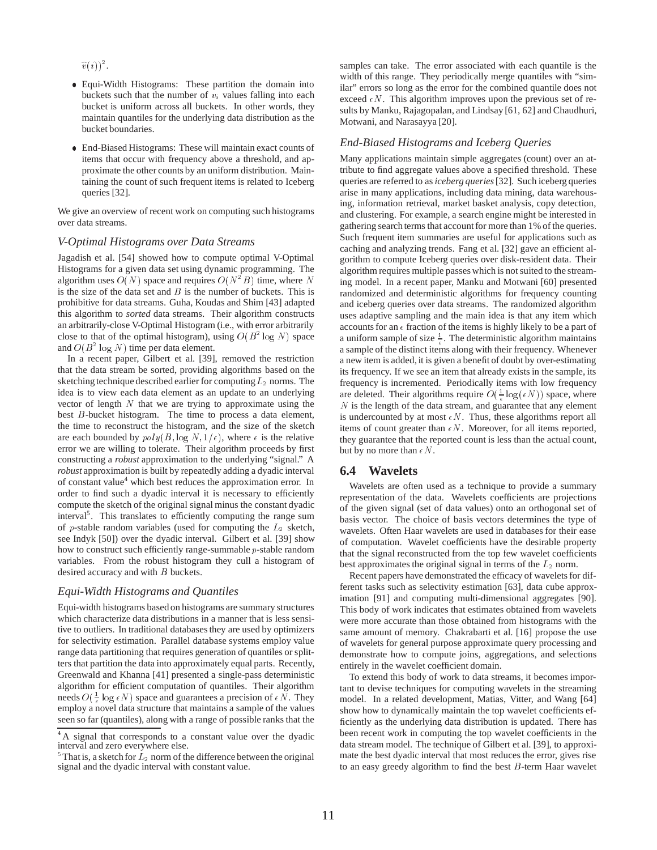$\widehat{v}(i))^2$ .

- Equi-Width Histograms: These partition the domain into buckets such that the number of  $v_i$  values falling into each bucket is uniform across all buckets. In other words, they maintain quantiles for the underlying data distribution as the bucket boundaries.
- End-Biased Histograms: These will maintain exact counts of items that occur with frequency above a threshold, and approximate the other counts by an uniform distribution. Maintaining the count of such frequent items is related to Iceberg queries [32].

We give an overview of recent work on computing such histograms over data streams.

#### *V-Optimal Histograms over Data Streams*

Jagadish et al. [54] showed how to compute optimal V-Optimal Histograms for a given data set using dynamic programming. The algorithm uses  $O(N)$  space and requires  $O(N^2B)$  time, where N is the size of the data set and  $B$  is the number of buckets. This is prohibitive for data streams. Guha, Koudas and Shim [43] adapted this algorithm to *sorted* data streams. Their algorithm constructs an arbitrarily-close V-Optimal Histogram (i.e., with error arbitrarily close to that of the optimal histogram), using  $O(B^2 \log N)$  space and  $O(B^2 \log N)$  time per data element.

In a recent paper, Gilbert et al. [39], removed the restriction that the data stream be sorted, providing algorithms based on the sketching technique described earlier for computing  $L_2$  norms. The idea is to view each data element as an update to an underlying vector of length  $N$  that we are trying to approximate using the best <sup>B</sup>-bucket histogram. The time to process a data element, the time to reconstruct the histogram, and the size of the sketch are each bounded by  $poly(B, \log N, 1/\epsilon)$ , where  $\epsilon$  is the relative error we are willing to tolerate. Their algorithm proceeds by first constructing a *robust* approximation to the underlying "signal." A *robust* approximation is built by repeatedly adding a dyadic interval of constant value<sup>4</sup> which best reduces the approximation error. In order to find such a dyadic interval it is necessary to efficiently compute the sketch of the original signal minus the constant dyadic interval<sup>5</sup>. This translates to efficiently computing the range sum of p-stable random variables (used for computing the  $L_2$  sketch, see Indyk [50]) over the dyadic interval. Gilbert et al. [39] show how to construct such efficiently range-summable p-stable random variables. From the robust histogram they cull a histogram of desired accuracy and with B buckets.

#### *Equi-Width Histograms and Quantiles*

Equi-width histograms based on histograms are summary structures which characterize data distributions in a manner that is less sensitive to outliers. In traditional databases they are used by optimizers for selectivity estimation. Parallel database systems employ value range data partitioning that requires generation of quantiles or splitters that partition the data into approximately equal parts. Recently, Greenwald and Khanna [41] presented a single-pass deterministic algorithm for efficient computation of quantiles. Their algorithm needs  $O(\frac{1}{\epsilon} \log \epsilon N)$  space and guarantees a precision of  $\epsilon N$ . They employ a novel data structure that maintains a sample of the values seen so far (quantiles), along with a range of possible ranks that the

samples can take. The error associated with each quantile is the width of this range. They periodically merge quantiles with "similar" errors so long as the error for the combined quantile does not exceed  $\epsilon N$ . This algorithm improves upon the previous set of results by Manku, Rajagopalan, and Lindsay [61, 62] and Chaudhuri, Motwani, and Narasayya [20].

#### *End-Biased Histograms and Iceberg Queries*

Many applications maintain simple aggregates (count) over an attribute to find aggregate values above a specified threshold. These queries are referred to as*iceberg queries*[32]. Such iceberg queries arise in many applications, including data mining, data warehousing, information retrieval, market basket analysis, copy detection, and clustering. For example, a search engine might be interested in gathering search terms that accountfor more than 1% of the queries. Such frequent item summaries are useful for applications such as caching and analyzing trends. Fang et al. [32] gave an efficient algorithm to compute Iceberg queries over disk-resident data. Their algorithm requires multiple passes which is not suited to the streaming model. In a recent paper, Manku and Motwani [60] presented randomized and deterministic algorithms for frequency counting and iceberg queries over data streams. The randomized algorithm uses adaptive sampling and the main idea is that any item which accounts for an  $\epsilon$  fraction of the items is highly likely to be a part of a uniform sample of size  $\frac{1}{6}$ . The deterministic algorithm maintains a sample of the distinct items along with their frequency. Whenever a new item is added, it is given a benefit of doubt by over-estimating its frequency. If we see an item that already exists in the sample, its frequency is incremented. Periodically items with low frequency are deleted. Their algorithms require  $O(\frac{1}{\epsilon} \log(\epsilon N))$  space, where  $N$  is the length of the data stream, and guarantee that any element is undercounted by at most  $\epsilon N$ . Thus, these algorithms report all items of count greater than  $\epsilon N$ . Moreover, for all items reported, they guarantee that the reported count is less than the actual count, but by no more than  $\epsilon N$ .

## **6.4 Wavelets**

Wavelets are often used as a technique to provide a summary representation of the data. Wavelets coefficients are projections of the given signal (set of data values) onto an orthogonal set of basis vector. The choice of basis vectors determines the type of wavelets. Often Haar wavelets are used in databases for their ease of computation. Wavelet coefficients have the desirable property that the signal reconstructed from the top few wavelet coefficients best approximates the original signal in terms of the  $L_2$  norm.

Recent papers have demonstrated the efficacy of wavelets for different tasks such as selectivity estimation [63], data cube approximation [91] and computing multi-dimensional aggregates [90]. This body of work indicates that estimates obtained from wavelets were more accurate than those obtained from histograms with the same amount of memory. Chakrabarti et al. [16] propose the use of wavelets for general purpose approximate query processing and demonstrate how to compute joins, aggregations, and selections entirely in the wavelet coefficient domain.

To extend this body of work to data streams, it becomes important to devise techniques for computing wavelets in the streaming model. In a related development, Matias, Vitter, and Wang [64] show how to dynamically maintain the top wavelet coefficients efficiently as the underlying data distribution is updated. There has been recent work in computing the top wavelet coefficients in the data stream model. The technique of Gilbert et al. [39], to approximate the best dyadic interval that most reduces the error, gives rise to an easy greedy algorithm to find the best  $B$ -term Haar wavelet

<sup>&</sup>lt;sup>4</sup>A signal that corresponds to a constant value over the dyadic interval and zero everywhere else.

<sup>&</sup>lt;sup>5</sup> That is, a sketch for  $L_2$  norm of the difference between the original signal and the dyadic interval with constant value.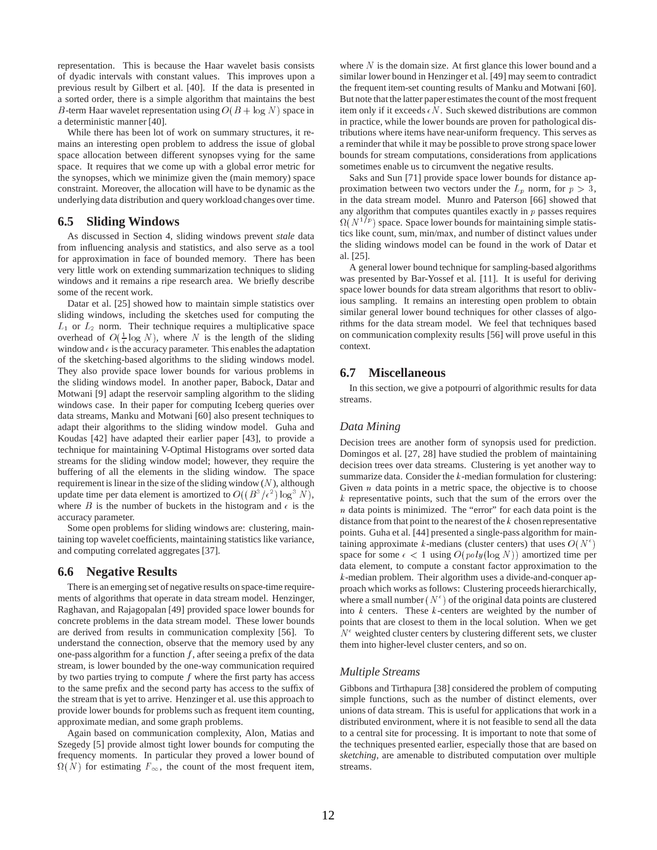representation. This is because the Haar wavelet basis consists of dyadic intervals with constant values. This improves upon a previous result by Gilbert et al. [40]. If the data is presented in a sorted order, there is a simple algorithm that maintains the best B-term Haar wavelet representation using  $O(B + \log N)$  space in a deterministic manner [40].

While there has been lot of work on summary structures, it remains an interesting open problem to address the issue of global space allocation between different synopses vying for the same space. It requires that we come up with a global error metric for the synopses, which we minimize given the (main memory) space constraint. Moreover, the allocation will have to be dynamic as the underlying data distribution and query workload changes over time.

## **6.5 Sliding Windows**

As discussed in Section 4, sliding windows prevent *stale* data from influencing analysis and statistics, and also serve as a tool for approximation in face of bounded memory. There has been very little work on extending summarization techniques to sliding windows and it remains a ripe research area. We briefly describe some of the recent work.

Datar et al. [25] showed how to maintain simple statistics over sliding windows, including the sketches used for computing the  $L_1$  or  $L_2$  norm. Their technique requires a multiplicative space overhead of  $O(\frac{1}{\epsilon} \log N)$ , where N is the length of the sliding window and  $\epsilon$  is the accuracy parameter. This enables the adaptation of the sketching-based algorithms to the sliding windows model. They also provide space lower bounds for various problems in the sliding windows model. In another paper, Babock, Datar and Motwani [9] adapt the reservoir sampling algorithm to the sliding windows case. In their paper for computing Iceberg queries over data streams, Manku and Motwani [60] also present techniques to adapt their algorithms to the sliding window model. Guha and Koudas [42] have adapted their earlier paper [43], to provide a technique for maintaining V-Optimal Histograms over sorted data streams for the sliding window model; however, they require the buffering of all the elements in the sliding window. The space requirement is linear in the size of the sliding window  $(N)$ , although update time per data element is amortized to  $O((B^3/\epsilon^2) \log^3 N)$ , where B is the number of buckets in the histogram and  $\epsilon$  is the accuracy parameter.

Some open problems for sliding windows are: clustering, maintaining top wavelet coefficients, maintaining statistics like variance, and computing correlated aggregates [37].

## **6.6 Negative Results**

There is an emerging set of negative results on space-time requirements of algorithms that operate in data stream model. Henzinger, Raghavan, and Rajagopalan [49] provided space lower bounds for concrete problems in the data stream model. These lower bounds are derived from results in communication complexity [56]. To understand the connection, observe that the memory used by any one-pass algorithm for a function  $f$ , after seeing a prefix of the data stream, is lower bounded by the one-way communication required by two parties trying to compute  $f$  where the first party has access to the same prefix and the second party has access to the suffix of the stream that is yet to arrive. Henzinger et al. use this approach to provide lower bounds for problems such as frequent item counting, approximate median, and some graph problems.

Again based on communication complexity, Alon, Matias and Szegedy [5] provide almost tight lower bounds for computing the frequency moments. In particular they proved a lower bound of  $\Omega(N)$  for estimating  $F_{\infty}$ , the count of the most frequent item,

where  $N$  is the domain size. At first glance this lower bound and a similar lower bound in Henzinger et al. [49] may seem to contradict the frequent item-set counting results of Manku and Motwani [60]. But note that the latter paperestimates the count of the most frequent item only if it exceeds  $\epsilon N$ . Such skewed distributions are common in practice, while the lower bounds are proven for pathological distributions where items have near-uniform frequency. This serves as a reminder that while it may be possible to prove strong space lower bounds for stream computations, considerations from applications sometimes enable us to circumvent the negative results.

Saks and Sun [71] provide space lower bounds for distance approximation between two vectors under the  $L_p$  norm, for  $p > 3$ , in the data stream model. Munro and Paterson [66] showed that any algorithm that computes quantiles exactly in  $p$  passes requires  $\Omega(N^{1/p})$  space. Space lower bounds for maintaining simple statistics like count, sum, min/max, and number of distinct values under the sliding windows model can be found in the work of Datar et al. [25].

A general lower bound technique for sampling-based algorithms was presented by Bar-Yossef et al. [11]. It is useful for deriving space lower bounds for data stream algorithms that resort to oblivious sampling. It remains an interesting open problem to obtain similar general lower bound techniques for other classes of algorithms for the data stream model. We feel that techniques based on communication complexity results [56] will prove useful in this context.

# **6.7 Miscellaneous**

In this section, we give a potpourri of algorithmic results for data streams.

#### *Data Mining*

Decision trees are another form of synopsis used for prediction. Domingos et al. [27, 28] have studied the problem of maintaining decision trees over data streams. Clustering is yet another way to summarize data. Consider the  $k$ -median formulation for clustering: Given  $n$  data points in a metric space, the objective is to choose  $k$  representative points, such that the sum of the errors over the  $n$  data points is minimized. The "error" for each data point is the distance from that point to the nearest of the  $k$  chosen representative points. Guha et al. [44] presented a single-pass algorithm for maintaining approximate k-medians (cluster centers) that uses  $O(N^{\epsilon})$ space for some  $\epsilon$  < 1 using  $O(poly(\log N))$  amortized time per data element, to compute a constant factor approximation to the k-median problem. Their algorithm uses a divide-and-conquer approach which works as follows: Clustering proceeds hierarchically, where a small number  $(N^{\epsilon})$  of the original data points are clustered into <sup>k</sup> centers. These <sup>k</sup>-centers are weighted by the number of points that are closest to them in the local solution. When we get  $N^{\epsilon}$  weighted cluster centers by clustering different sets, we cluster them into higher-level cluster centers, and so on.

## *Multiple Streams*

Gibbons and Tirthapura [38] considered the problem of computing simple functions, such as the number of distinct elements, over unions of data stream. This is useful for applications that work in a distributed environment, where it is not feasible to send all the data to a central site for processing. It is important to note that some of the techniques presented earlier, especially those that are based on *sketching*, are amenable to distributed computation over multiple streams.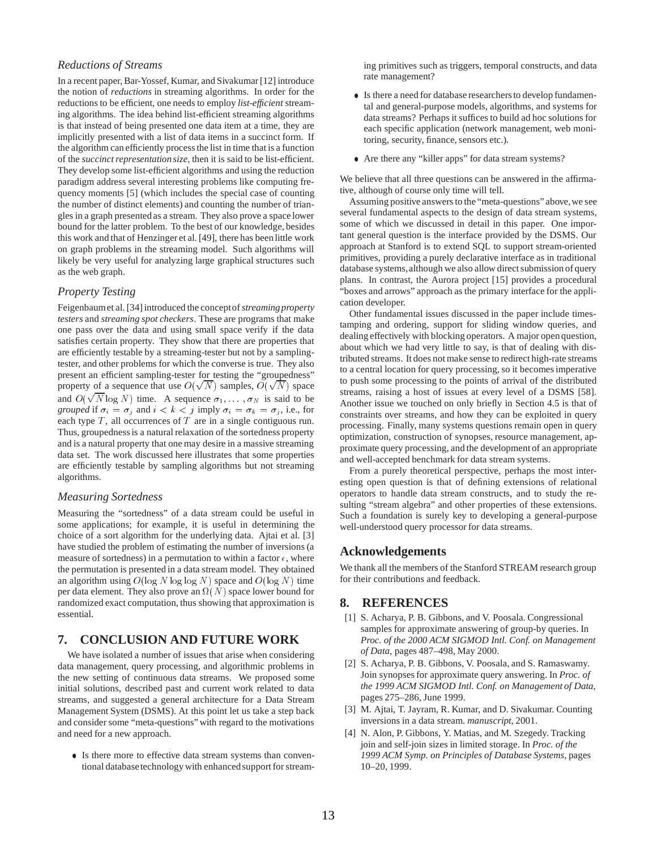# *Reductions of Streams*

In a recent paper, Bar-Yossef, Kumar, and Sivakumar [12] introduce the notion of *reductions* in streaming algorithms. In order for the reductions to be efficient, one needs to employ *list-efficient* streaming algorithms. The idea behind list-efficient streaming algorithms is that instead of being presented one data item at a time, they are implicitly presented with a list of data items in a succinct form. If the algorithm can efficiently process the list in time that is a function of the *succinct representation size*, then it is said to be list-efficient. They develop some list-efficient algorithms and using the reduction paradigm address several interesting problems like computing frequency moments [5] (which includes the special case of counting the number of distinct elements) and counting the number of triangles in a graph presented as a stream. They also prove a space lower bound for the latter problem. To the best of our knowledge, besides this work and that of Henzinger et al. [49], there has been little work on graph problems in the streaming model. Such algorithms will likely be very useful for analyzing large graphical structures such as the web graph.

#### *Property Testing*

Feigenbaumet al. [34] introduced the conceptof*streamingproperty testers* and *streaming spot checkers*. These are programs that make one pass over the data and using small space verify if the data satisfies certain property. They show that there are properties that are efficiently testable by a streaming-tester but not by a samplingtester, and other problems for which the converse is true. They also present an efficient sampling-tester for testing the "groupedness" property of a sequence that use  $O(\sqrt{N})$  samples,  $O(\sqrt{N})$  space and  $O(\sqrt{N} \log N)$  time. A sequence  $\sigma_1, \ldots, \sigma_N$  is said to be *grouped* if  $\sigma_i = \sigma_j$  and  $i < k < j$  imply  $\sigma_i = \sigma_k = \sigma_j$ , i.e., for each type  $T$ , all occurrences of  $T$  are in a single contiguous run. Thus, groupedness is a natural relaxation of the sortedness property and is a natural property that one may desire in a massive streaming data set. The work discussed here illustrates that some properties are efficiently testable by sampling algorithms but not streaming algorithms.

#### *Measuring Sortedness*

Measuring the "sortedness" of a data stream could be useful in some applications; for example, it is useful in determining the choice of a sort algorithm for the underlying data. Ajtai et al. [3] have studied the problem of estimating the number of inversions (a measure of sortedness) in a permutation to within a factor  $\epsilon$ , where the permutation is presented in a data stream model. They obtained an algorithm using  $O(\log N \log \log N)$  space and  $O(\log N)$  time per data element. They also prove an  $\Omega(N)$  space lower bound for randomized exact computation, thus showing that approximation is essential.

# **7. CONCLUSION AND FUTURE WORK**

We have isolated a number of issues that arise when considering data management, query processing, and algorithmic problems in the new setting of continuous data streams. We proposed some initial solutions, described past and current work related to data streams, and suggested a general architecture for a Data Stream Management System (DSMS). At this point let us take a step back and consider some "meta-questions" with regard to the motivations and need for a new approach.

 Is there more to effective data stream systems than conventional database technology with enhanced support for streaming primitives such as triggers, temporal constructs, and data rate management?

- Is there a need for database researchers to develop fundamental and general-purpose models, algorithms, and systems for data streams? Perhaps it suffices to build ad hoc solutions for each specific application (network management, web monitoring, security, finance, sensors etc.).
- Are there any "killer apps" for data stream systems?

We believe that all three questions can be answered in the affirmative, although of course only time will tell.

Assuming positive answers to the "meta-questions" above,we see several fundamental aspects to the design of data stream systems, some of which we discussed in detail in this paper. One important general question is the interface provided by the DSMS. Our approach at Stanford is to extend SQL to support stream-oriented primitives, providing a purely declarative interface as in traditional database systems,although we also allow direct submission of query plans. In contrast, the Aurora project [15] provides a procedural "boxes and arrows" approach as the primary interface for the application developer.

Other fundamental issues discussed in the paper include timestamping and ordering, support for sliding window queries, and dealing effectively with blocking operators. A major open question, about which we had very little to say, is that of dealing with distributed streams. It does not make sense to redirect high-rate streams to a central location for query processing, so it becomes imperative to push some processing to the points of arrival of the distributed streams, raising a host of issues at every level of a DSMS [58]. Another issue we touched on only briefly in Section 4.5 is that of constraints over streams, and how they can be exploited in query processing. Finally, many systems questions remain open in query optimization, construction of synopses, resource management, approximate query processing, and the development of an appropriate and well-accepted benchmark for data stream systems.

From a purely theoretical perspective, perhaps the most interesting open question is that of defining extensions of relational operators to handle data stream constructs, and to study the resulting "stream algebra" and other properties of these extensions. Such a foundation is surely key to developing a general-purpose well-understood query processor for data streams.

## **Acknowledgements**

We thank all the members of the Stanford STREAM research group for their contributions and feedback.

#### **8. REFERENCES**

- [1] S. Acharya, P. B. Gibbons, and V. Poosala. Congressional samples for approximate answering of group-by queries. In *Proc. of the 2000 ACM SIGMOD Intl. Conf. on Management of Data*, pages 487–498, May 2000.
- [2] S. Acharya, P. B. Gibbons, V. Poosala, and S. Ramaswamy. Join synopses for approximate query answering. In *Proc. of the 1999 ACM SIGMOD Intl. Conf. on Management of Data*, pages 275–286, June 1999.
- [3] M. Ajtai, T. Jayram, R. Kumar, and D. Sivakumar. Counting inversions in a data stream. *manuscript*, 2001.
- [4] N. Alon, P. Gibbons, Y. Matias, and M. Szegedy. Tracking join and self-join sizes in limited storage. In *Proc. of the 1999 ACM Symp. on Principles of Database Systems*, pages 10–20, 1999.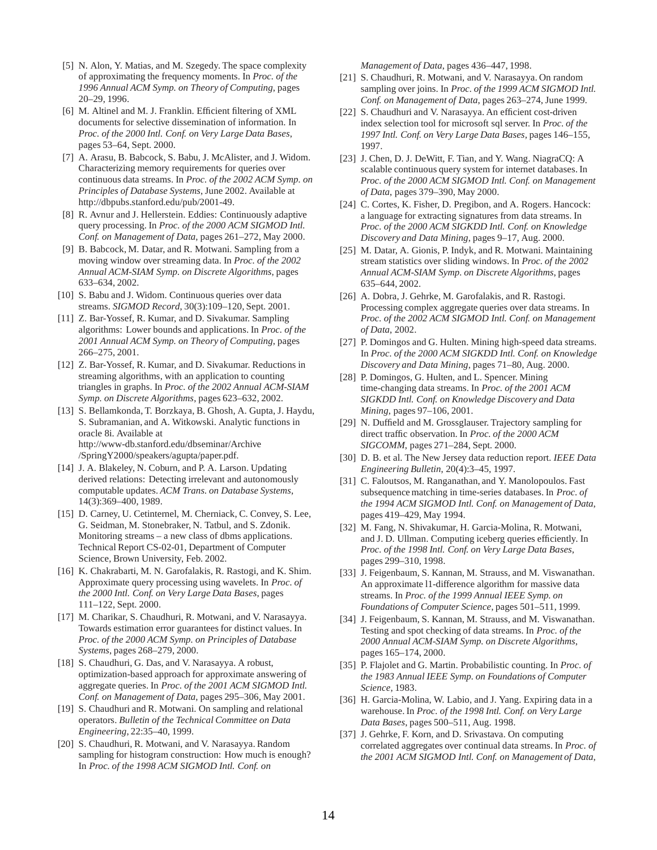- [5] N. Alon, Y. Matias, and M. Szegedy. The space complexity of approximating the frequency moments. In *Proc. of the 1996 Annual ACM Symp. on Theory of Computing*, pages 20–29, 1996.
- [6] M. Altinel and M. J. Franklin. Efficient filtering of XML documents for selective dissemination of information. In *Proc. of the 2000 Intl. Conf. on Very Large Data Bases*, pages 53–64, Sept. 2000.
- [7] A. Arasu, B. Babcock, S. Babu, J. McAlister, and J. Widom. Characterizing memory requirements for queries over continuous data streams. In *Proc. of the 2002 ACM Symp. on Principles of Database Systems*, June 2002. Available at http://dbpubs.stanford.edu/pub/2001-49.
- [8] R. Avnur and J. Hellerstein. Eddies: Continuously adaptive query processing. In *Proc. of the 2000 ACM SIGMOD Intl. Conf. on Management of Data*, pages 261–272, May 2000.
- [9] B. Babcock, M. Datar, and R. Motwani. Sampling from a moving window over streaming data. In *Proc. of the 2002 Annual ACM-SIAM Symp. on Discrete Algorithms*, pages 633–634, 2002.
- [10] S. Babu and J. Widom. Continuous queries over data streams. *SIGMOD Record*, 30(3):109–120, Sept. 2001.
- [11] Z. Bar-Yossef, R. Kumar, and D. Sivakumar. Sampling algorithms: Lower bounds and applications. In *Proc. of the 2001 Annual ACM Symp. on Theory of Computing*, pages 266–275, 2001.
- [12] Z. Bar-Yossef, R. Kumar, and D. Sivakumar. Reductions in streaming algorithms, with an application to counting triangles in graphs. In *Proc. of the 2002 Annual ACM-SIAM Symp. on Discrete Algorithms*, pages 623–632, 2002.
- [13] S. Bellamkonda, T. Borzkaya, B. Ghosh, A. Gupta, J. Haydu, S. Subramanian, and A. Witkowski. Analytic functions in oracle 8i. Available at http://www-db.stanford.edu/dbseminar/Archive /SpringY2000/speakers/agupta/paper.pdf.
- [14] J. A. Blakeley, N. Coburn, and P. A. Larson. Updating derived relations: Detecting irrelevant and autonomously computable updates. *ACM Trans. on Database Systems*, 14(3):369–400, 1989.
- [15] D. Carney, U. Cetinternel, M. Cherniack, C. Convey, S. Lee, G. Seidman, M. Stonebraker, N. Tatbul, and S. Zdonik. Monitoring streams – a new class of dbms applications. Technical Report CS-02-01, Department of Computer Science, Brown University, Feb. 2002.
- [16] K. Chakrabarti, M. N. Garofalakis, R. Rastogi, and K. Shim. Approximate query processing using wavelets. In *Proc. of the 2000 Intl. Conf. on Very Large Data Bases*, pages 111–122, Sept. 2000.
- [17] M. Charikar, S. Chaudhuri, R. Motwani, and V. Narasayya. Towards estimation error guarantees for distinct values. In *Proc. of the 2000 ACM Symp. on Principles of Database Systems*, pages 268–279, 2000.
- [18] S. Chaudhuri, G. Das, and V. Narasayya. A robust, optimization-based approach for approximate answering of aggregate queries. In *Proc. of the 2001 ACM SIGMOD Intl. Conf. on Management of Data*, pages 295–306, May 2001.
- [19] S. Chaudhuri and R. Motwani. On sampling and relational operators. *Bulletin of the Technical Committee on Data Engineering*, 22:35–40, 1999.
- [20] S. Chaudhuri, R. Motwani, and V. Narasayya. Random sampling for histogram construction: How much is enough? In *Proc. of the 1998 ACM SIGMOD Intl. Conf. on*

*Management of Data*, pages 436–447, 1998.

- [21] S. Chaudhuri, R. Motwani, and V. Narasayya. On random sampling over joins. In *Proc. of the 1999 ACM SIGMOD Intl. Conf. on Management of Data*, pages 263–274, June 1999.
- [22] S. Chaudhuri and V. Narasayya. An efficient cost-driven index selection tool for microsoft sql server. In *Proc. of the 1997 Intl. Conf. on Very Large Data Bases*, pages 146–155, 1997.
- [23] J. Chen, D. J. DeWitt, F. Tian, and Y. Wang. NiagraCQ: A scalable continuous query system for internet databases. In *Proc. of the 2000 ACM SIGMOD Intl. Conf. on Management of Data*, pages 379–390, May 2000.
- [24] C. Cortes, K. Fisher, D. Pregibon, and A. Rogers. Hancock: a language for extracting signatures from data streams. In *Proc. of the 2000 ACM SIGKDD Intl. Conf. on Knowledge Discovery and Data Mining*, pages 9–17, Aug. 2000.
- [25] M. Datar, A. Gionis, P. Indyk, and R. Motwani. Maintaining stream statistics over sliding windows. In *Proc. of the 2002 Annual ACM-SIAM Symp. on Discrete Algorithms*, pages 635–644, 2002.
- [26] A. Dobra, J. Gehrke, M. Garofalakis, and R. Rastogi. Processing complex aggregate queries over data streams. In *Proc. of the 2002 ACM SIGMOD Intl. Conf. on Management of Data*, 2002.
- [27] P. Domingos and G. Hulten. Mining high-speed data streams. In *Proc. of the 2000 ACM SIGKDD Intl. Conf. on Knowledge Discovery and Data Mining*, pages 71–80, Aug. 2000.
- [28] P. Domingos, G. Hulten, and L. Spencer. Mining time-changing data streams. In *Proc. of the 2001 ACM SIGKDD Intl. Conf. on Knowledge Discovery and Data Mining*, pages 97–106, 2001.
- [29] N. Duffield and M. Grossglauser. Trajectory sampling for direct traffic observation. In *Proc. of the 2000 ACM SIGCOMM*, pages 271–284, Sept. 2000.
- [30] D. B. et al. The New Jersey data reduction report. *IEEE Data Engineering Bulletin*, 20(4):3–45, 1997.
- [31] C. Faloutsos, M. Ranganathan, and Y. Manolopoulos. Fast subsequence matching in time-series databases. In *Proc. of the 1994 ACM SIGMOD Intl. Conf. on Management of Data*, pages 419–429, May 1994.
- [32] M. Fang, N. Shivakumar, H. Garcia-Molina, R. Motwani, and J. D. Ullman. Computing iceberg queries efficiently. In *Proc. of the 1998 Intl. Conf. on Very Large Data Bases*, pages 299–310, 1998.
- [33] J. Feigenbaum, S. Kannan, M. Strauss, and M. Viswanathan. An approximate l1-difference algorithm for massive data streams. In *Proc. of the 1999 Annual IEEE Symp. on Foundations of Computer Science*, pages 501–511, 1999.
- [34] J. Feigenbaum, S. Kannan, M. Strauss, and M. Viswanathan. Testing and spot checking of data streams. In *Proc. of the 2000 Annual ACM-SIAM Symp. on Discrete Algorithms*, pages 165–174, 2000.
- [35] P. Flajolet and G. Martin. Probabilistic counting. In *Proc. of the 1983 Annual IEEE Symp. on Foundations of Computer Science*, 1983.
- [36] H. Garcia-Molina, W. Labio, and J. Yang. Expiring data in a warehouse. In *Proc. of the 1998 Intl. Conf. on Very Large Data Bases*, pages 500–511, Aug. 1998.
- [37] J. Gehrke, F. Korn, and D. Srivastava. On computing correlated aggregates over continual data streams. In *Proc. of the 2001 ACM SIGMOD Intl. Conf. on Management of Data*,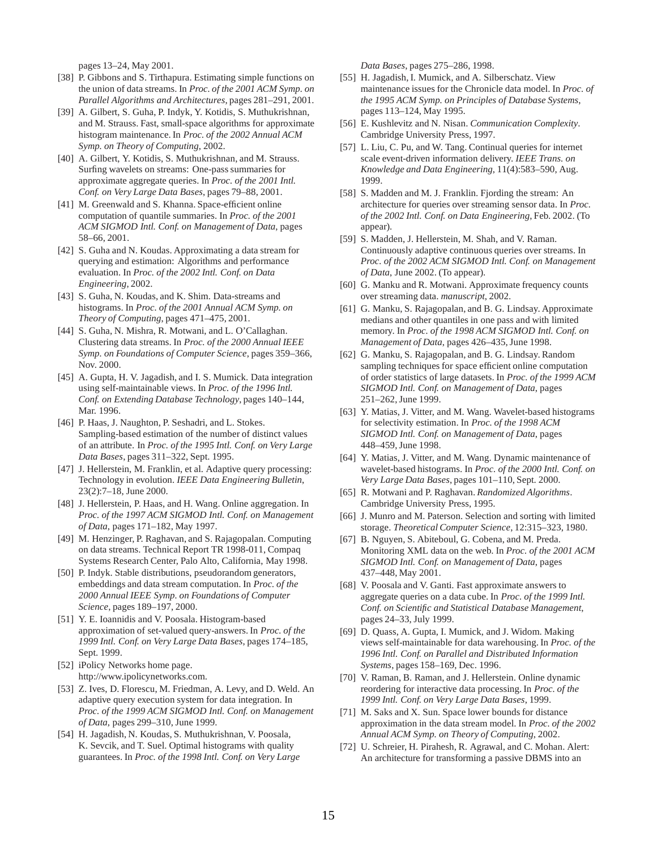pages 13–24, May 2001.

- [38] P. Gibbons and S. Tirthapura. Estimating simple functions on the union of data streams. In *Proc. of the 2001 ACM Symp. on Parallel Algorithms and Architectures*, pages 281–291, 2001.
- [39] A. Gilbert, S. Guha, P. Indyk, Y. Kotidis, S. Muthukrishnan, and M. Strauss. Fast, small-space algorithms for approximate histogram maintenance. In *Proc. of the 2002 Annual ACM Symp. on Theory of Computing*, 2002.
- [40] A. Gilbert, Y. Kotidis, S. Muthukrishnan, and M. Strauss. Surfing wavelets on streams: One-pass summaries for approximate aggregate queries. In *Proc. of the 2001 Intl. Conf. on Very Large Data Bases*, pages 79–88, 2001.
- [41] M. Greenwald and S. Khanna. Space-efficient online computation of quantile summaries. In *Proc. of the 2001 ACM SIGMOD Intl. Conf. on Management of Data*, pages 58–66, 2001.
- [42] S. Guha and N. Koudas. Approximating a data stream for querying and estimation: Algorithms and performance evaluation. In *Proc. of the 2002 Intl. Conf. on Data Engineering*, 2002.
- [43] S. Guha, N. Koudas, and K. Shim. Data-streams and histograms. In *Proc. of the 2001 Annual ACM Symp. on Theory of Computing*, pages 471–475, 2001.
- [44] S. Guha, N. Mishra, R. Motwani, and L. O'Callaghan. Clustering data streams. In *Proc. of the 2000 Annual IEEE Symp. on Foundations of Computer Science*, pages 359–366, Nov. 2000.
- [45] A. Gupta, H. V. Jagadish, and I. S. Mumick. Data integration using self-maintainable views. In *Proc. of the 1996 Intl. Conf. on Extending Database Technology*, pages 140–144, Mar. 1996.
- [46] P. Haas, J. Naughton, P. Seshadri, and L. Stokes. Sampling-based estimation of the number of distinct values of an attribute. In *Proc. of the 1995 Intl. Conf. on Very Large Data Bases*, pages 311–322, Sept. 1995.
- [47] J. Hellerstein, M. Franklin, et al. Adaptive query processing: Technology in evolution. *IEEE Data Engineering Bulletin*, 23(2):7–18, June 2000.
- [48] J. Hellerstein, P. Haas, and H. Wang. Online aggregation. In *Proc. of the 1997 ACM SIGMOD Intl. Conf. on Management of Data*, pages 171–182, May 1997.
- [49] M. Henzinger, P. Raghavan, and S. Rajagopalan. Computing on data streams. Technical Report TR 1998-011, Compaq Systems Research Center, Palo Alto, California, May 1998.
- [50] P. Indyk. Stable distributions, pseudorandom generators, embeddings and data stream computation. In *Proc. of the 2000 Annual IEEE Symp. on Foundations of Computer Science*, pages 189–197, 2000.
- [51] Y. E. Ioannidis and V. Poosala. Histogram-based approximation of set-valued query-answers. In *Proc. of the 1999 Intl. Conf. on Very Large Data Bases*, pages 174–185, Sept. 1999.
- [52] iPolicy Networks home page. http://www.ipolicynetworks.com.
- [53] Z. Ives, D. Florescu, M. Friedman, A. Levy, and D. Weld. An adaptive query execution system for data integration. In *Proc. of the 1999 ACM SIGMOD Intl. Conf. on Management of Data*, pages 299–310, June 1999.
- [54] H. Jagadish, N. Koudas, S. Muthukrishnan, V. Poosala, K. Sevcik, and T. Suel. Optimal histograms with quality guarantees. In *Proc. of the 1998 Intl. Conf. on Very Large*

*Data Bases*, pages 275–286, 1998.

- [55] H. Jagadish, I. Mumick, and A. Silberschatz. View maintenance issues for the Chronicle data model. In *Proc. of the 1995 ACM Symp. on Principles of Database Systems*, pages 113–124, May 1995.
- [56] E. Kushlevitz and N. Nisan. *Communication Complexity*. Cambridge University Press, 1997.
- [57] L. Liu, C. Pu, and W. Tang. Continual queries for internet scale event-driven information delivery. *IEEE Trans. on Knowledge and Data Engineering*, 11(4):583–590, Aug. 1999.
- [58] S. Madden and M. J. Franklin. Fjording the stream: An architecture for queries over streaming sensor data. In *Proc. of the 2002 Intl. Conf. on Data Engineering*, Feb. 2002. (To appear).
- [59] S. Madden, J. Hellerstein, M. Shah, and V. Raman. Continuously adaptive continuous queries over streams. In *Proc. of the 2002 ACM SIGMOD Intl. Conf. on Management of Data*, June 2002. (To appear).
- [60] G. Manku and R. Motwani. Approximate frequency counts over streaming data. *manuscript*, 2002.
- [61] G. Manku, S. Rajagopalan, and B. G. Lindsay. Approximate medians and other quantiles in one pass and with limited memory. In *Proc. of the 1998 ACM SIGMOD Intl. Conf. on Management of Data*, pages 426–435, June 1998.
- [62] G. Manku, S. Rajagopalan, and B. G. Lindsay. Random sampling techniques for space efficient online computation of order statistics of large datasets. In *Proc. of the 1999 ACM SIGMOD Intl. Conf. on Management of Data*, pages 251–262, June 1999.
- [63] Y. Matias, J. Vitter, and M. Wang. Wavelet-based histograms for selectivity estimation. In *Proc. of the 1998 ACM SIGMOD Intl. Conf. on Management of Data*, pages 448–459, June 1998.
- [64] Y. Matias, J. Vitter, and M. Wang. Dynamic maintenance of wavelet-based histograms. In *Proc. of the 2000 Intl. Conf. on Very Large Data Bases*, pages 101–110, Sept. 2000.
- [65] R. Motwani and P. Raghavan. *Randomized Algorithms*. Cambridge University Press, 1995.
- [66] J. Munro and M. Paterson. Selection and sorting with limited storage. *Theoretical Computer Science*, 12:315–323, 1980.
- [67] B. Nguyen, S. Abiteboul, G. Cobena, and M. Preda. Monitoring XML data on the web. In *Proc. of the 2001 ACM SIGMOD Intl. Conf. on Management of Data*, pages 437–448, May 2001.
- [68] V. Poosala and V. Ganti. Fast approximate answers to aggregate queries on a data cube. In *Proc. of the 1999 Intl. Conf. on Scientific and Statistical Database Management*, pages 24–33, July 1999.
- [69] D. Quass, A. Gupta, I. Mumick, and J. Widom. Making views self-maintainable for data warehousing. In *Proc. of the 1996 Intl. Conf. on Parallel and Distributed Information Systems*, pages 158–169, Dec. 1996.
- [70] V. Raman, B. Raman, and J. Hellerstein. Online dynamic reordering for interactive data processing. In *Proc. of the 1999 Intl. Conf. on Very Large Data Bases*, 1999.
- [71] M. Saks and X. Sun. Space lower bounds for distance approximation in the data stream model. In *Proc. of the 2002 Annual ACM Symp. on Theory of Computing*, 2002.
- [72] U. Schreier, H. Pirahesh, R. Agrawal, and C. Mohan. Alert: An architecture for transforming a passive DBMS into an